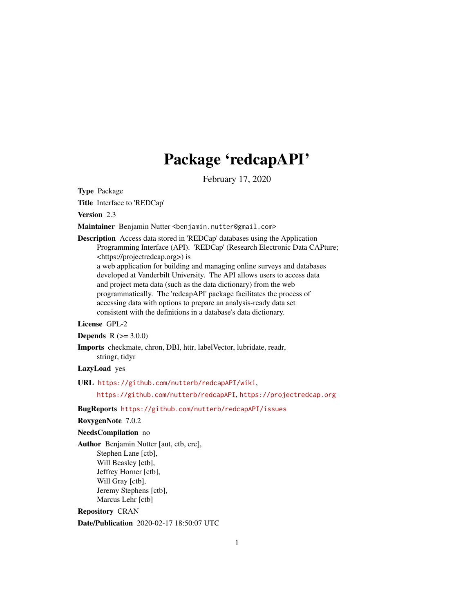# Package 'redcapAPI'

February 17, 2020

<span id="page-0-0"></span>Type Package

Title Interface to 'REDCap'

Version 2.3

Maintainer Benjamin Nutter <benjamin.nutter@gmail.com>

Description Access data stored in 'REDCap' databases using the Application Programming Interface (API). 'REDCap' (Research Electronic Data CAPture; <https://projectredcap.org>) is a web application for building and managing online surveys and databases developed at Vanderbilt University. The API allows users to access data and project meta data (such as the data dictionary) from the web programmatically. The 'redcapAPI' package facilitates the process of accessing data with options to prepare an analysis-ready data set consistent with the definitions in a database's data dictionary.

### License GPL-2

**Depends**  $R (= 3.0.0)$ 

Imports checkmate, chron, DBI, httr, labelVector, lubridate, readr, stringr, tidyr

LazyLoad yes

URL <https://github.com/nutterb/redcapAPI/wiki>,

<https://github.com/nutterb/redcapAPI>, <https://projectredcap.org>

BugReports <https://github.com/nutterb/redcapAPI/issues>

RoxygenNote 7.0.2

### NeedsCompilation no

Author Benjamin Nutter [aut, ctb, cre], Stephen Lane [ctb], Will Beasley [ctb], Jeffrey Horner [ctb], Will Gray [ctb], Jeremy Stephens [ctb], Marcus Lehr [ctb]

Repository CRAN Date/Publication 2020-02-17 18:50:07 UTC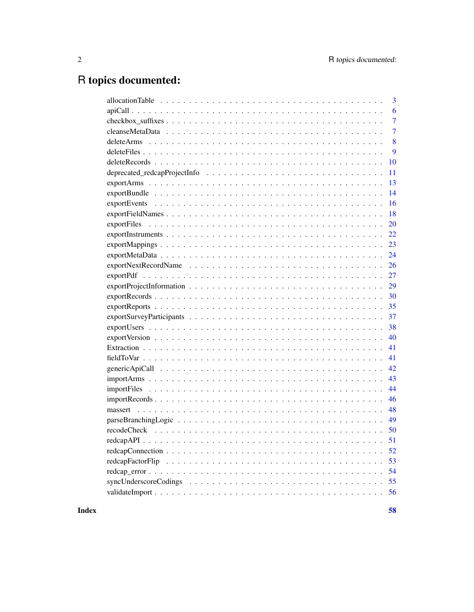# R topics documented:

| $\overline{3}$ |
|----------------|
| 6              |
| $\overline{7}$ |
| 7              |
| 8              |
| 9              |
| 10             |
| 11             |
| 13             |
| 14             |
| 16             |
| 18             |
| 20             |
| 22             |
| 23             |
| 24             |
| 26             |
| 27             |
| 29             |
| 30             |
| 35             |
| 37             |
| 38             |
| 40             |
| 41             |
| 41             |
| 42             |
| 43             |
| 44             |
| 46             |
| 48             |
| 49             |
| 50             |
| 51             |
| 52             |
| 53             |
| 54             |
|                |
|                |
|                |

**Index**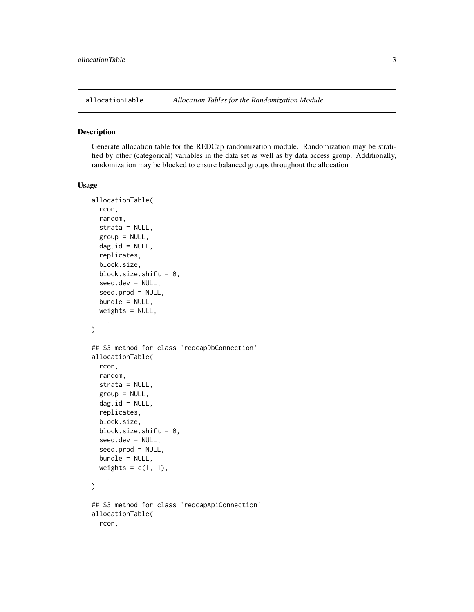<span id="page-2-0"></span>

#### Description

Generate allocation table for the REDCap randomization module. Randomization may be stratified by other (categorical) variables in the data set as well as by data access group. Additionally, randomization may be blocked to ensure balanced groups throughout the allocation

```
allocationTable(
  rcon,
  random,
  strata = NULL,
  group = NULL,dag.id = NULL,replicates,
 block.size,
 block.size.shift = 0,
  seed.dev = NULL,seed.prod = NULL,
  bundle = NULL,
 weights = NULL,...
\mathcal{L}## S3 method for class 'redcapDbConnection'
allocationTable(
  rcon,
  random,
  strata = NULL,
  group = NULL,dag.id = NULL,replicates,
 block.size,
 block.size.shift = 0,
  seed.dev = NULL,
  seed.prod = NULL,
 bundle = NULL,
  weights = c(1, 1),
  ...
)
## S3 method for class 'redcapApiConnection'
allocationTable(
  rcon,
```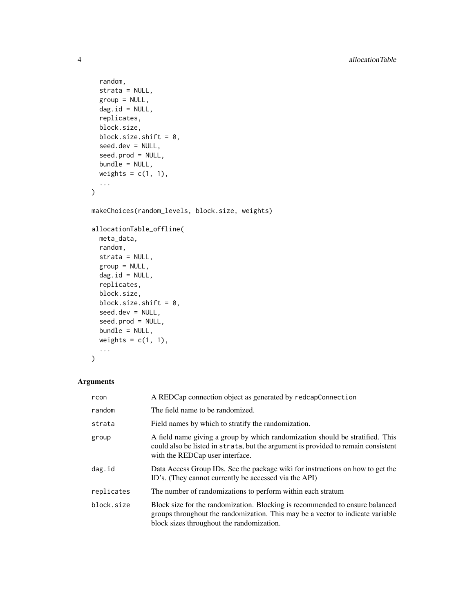```
random,
 strata = NULL,
 group = NULL,dag.id = NULL,replicates,
 block.size,
 block.size.shift = 0,
  seed.dev = NULL,
  seed.prod = NULL,
 bundle = NULL,
 weights = c(1, 1),
  ...
)
makeChoices(random_levels, block.size, weights)
allocationTable_offline(
 meta_data,
 random,
 strata = NULL,
 group = NULL,dag.id = NULL,replicates,
 block.size,
 block.size.shift = 0,
 seed.dev = NULL,
  seed.prod = NULL,
 bundle = NULL,
 weights = c(1, 1),
  ...
```

```
)
```
### Arguments

| rcon       | A REDCap connection object as generated by redcapConnection                                                                                                                                                 |
|------------|-------------------------------------------------------------------------------------------------------------------------------------------------------------------------------------------------------------|
| random     | The field name to be randomized.                                                                                                                                                                            |
| strata     | Field names by which to stratify the randomization.                                                                                                                                                         |
| group      | A field name giving a group by which randomization should be stratified. This<br>could also be listed in strata, but the argument is provided to remain consistent<br>with the REDCap user interface.       |
| dag.id     | Data Access Group IDs. See the package wiki for instructions on how to get the<br>ID's. (They cannot currently be accessed via the API)                                                                     |
| replicates | The number of randomizations to perform within each stratum                                                                                                                                                 |
| block.size | Block size for the randomization. Blocking is recommended to ensure balanced<br>groups throughout the randomization. This may be a vector to indicate variable<br>block sizes throughout the randomization. |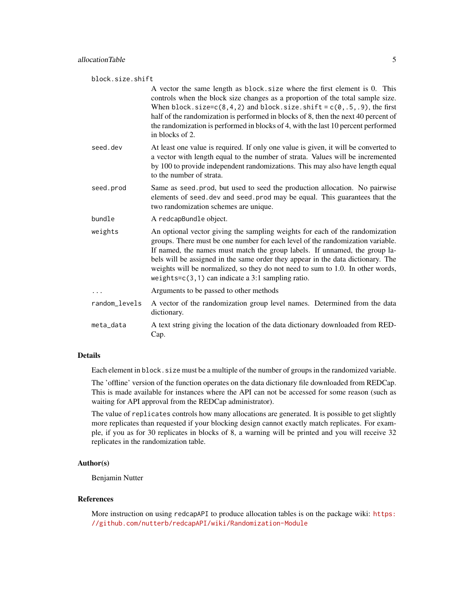| block.size.shift |                                                                                                                                                                                                                                                                                                                                                                                                                                                                            |
|------------------|----------------------------------------------------------------------------------------------------------------------------------------------------------------------------------------------------------------------------------------------------------------------------------------------------------------------------------------------------------------------------------------------------------------------------------------------------------------------------|
|                  | A vector the same length as block, size where the first element is 0. This<br>controls when the block size changes as a proportion of the total sample size.<br>When block.size= $c(8, 4, 2)$ and block.size.shift = $c(0, .5, .9)$ , the first<br>half of the randomization is performed in blocks of 8, then the next 40 percent of<br>the randomization is performed in blocks of 4, with the last 10 percent performed<br>in blocks of 2.                              |
| seed.dev         | At least one value is required. If only one value is given, it will be converted to<br>a vector with length equal to the number of strata. Values will be incremented<br>by 100 to provide independent randomizations. This may also have length equal<br>to the number of strata.                                                                                                                                                                                         |
| seed.prod        | Same as seed.prod, but used to seed the production allocation. No pairwise<br>elements of seed dev and seed prod may be equal. This guarantees that the<br>two randomization schemes are unique.                                                                                                                                                                                                                                                                           |
| bundle           | A redcapBundle object.                                                                                                                                                                                                                                                                                                                                                                                                                                                     |
| weights          | An optional vector giving the sampling weights for each of the randomization<br>groups. There must be one number for each level of the randomization variable.<br>If named, the names must match the group labels. If unnamed, the group la-<br>bels will be assigned in the same order they appear in the data dictionary. The<br>weights will be normalized, so they do not need to sum to 1.0. In other words,<br>weights= $c(3, 1)$ can indicate a 3:1 sampling ratio. |
|                  | Arguments to be passed to other methods                                                                                                                                                                                                                                                                                                                                                                                                                                    |
| random_levels    | A vector of the randomization group level names. Determined from the data<br>dictionary.                                                                                                                                                                                                                                                                                                                                                                                   |
| meta_data        | A text string giving the location of the data dictionary downloaded from RED-<br>Cap.                                                                                                                                                                                                                                                                                                                                                                                      |
|                  |                                                                                                                                                                                                                                                                                                                                                                                                                                                                            |

### Details

Each element in block.size must be a multiple of the number of groups in the randomized variable.

The 'offline' version of the function operates on the data dictionary file downloaded from REDCap. This is made available for instances where the API can not be accessed for some reason (such as waiting for API approval from the REDCap administrator).

The value of replicates controls how many allocations are generated. It is possible to get slightly more replicates than requested if your blocking design cannot exactly match replicates. For example, if you as for 30 replicates in blocks of 8, a warning will be printed and you will receive 32 replicates in the randomization table.

### Author(s)

Benjamin Nutter

#### References

More instruction on using redcapAPI to produce allocation tables is on the package wiki: [https:](https://github.com/nutterb/redcapAPI/wiki/Randomization-Module) [//github.com/nutterb/redcapAPI/wiki/Randomization-Module](https://github.com/nutterb/redcapAPI/wiki/Randomization-Module)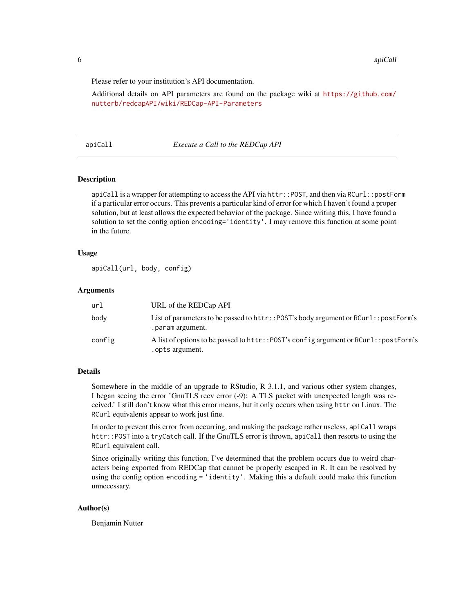<span id="page-5-0"></span>Please refer to your institution's API documentation.

Additional details on API parameters are found on the package wiki at [https://github.com/](https://github.com/nutterb/redcapAPI/wiki/REDCap-API-Parameters) [nutterb/redcapAPI/wiki/REDCap-API-Parameters](https://github.com/nutterb/redcapAPI/wiki/REDCap-API-Parameters)

apiCall *Execute a Call to the REDCap API*

#### Description

apiCall is a wrapper for attempting to access the API via httr:: POST, and then via RCurl:: postForm if a particular error occurs. This prevents a particular kind of error for which I haven't found a proper solution, but at least allows the expected behavior of the package. Since writing this, I have found a solution to set the config option encoding='identity'. I may remove this function at some point in the future.

#### Usage

apiCall(url, body, config)

#### **Arguments**

| url    | URL of the REDCap API                                                                                     |
|--------|-----------------------------------------------------------------------------------------------------------|
| body   | List of parameters to be passed to httr:: POST's body argument or RCurl:: postForm's<br>. param argument. |
| config | A list of options to be passed to httr:: POST's config argument or RCurl:: postForm's<br>. opts argument. |

#### Details

Somewhere in the middle of an upgrade to RStudio, R 3.1.1, and various other system changes, I began seeing the error 'GnuTLS recv error (-9): A TLS packet with unexpected length was received.' I still don't know what this error means, but it only occurs when using httr on Linux. The RCurl equivalents appear to work just fine.

In order to prevent this error from occurring, and making the package rather useless, apiCall wraps httr::POST into a tryCatch call. If the GnuTLS error is thrown, apiCall then resorts to using the RCurl equivalent call.

Since originally writing this function, I've determined that the problem occurs due to weird characters being exported from REDCap that cannot be properly escaped in R. It can be resolved by using the config option encoding = 'identity'. Making this a default could make this function unnecessary.

### Author(s)

Benjamin Nutter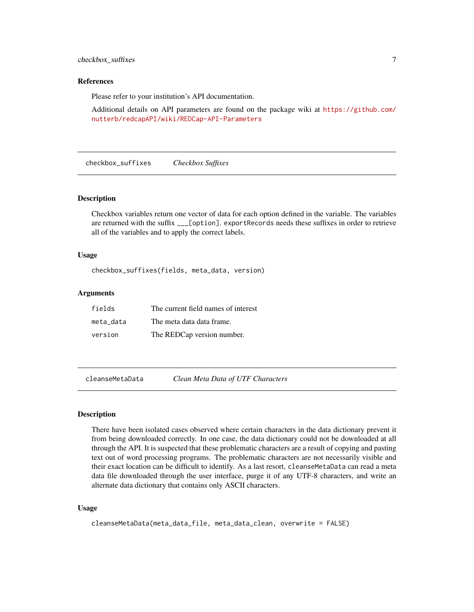### <span id="page-6-0"></span>checkbox\_suffixes 7

#### References

Please refer to your institution's API documentation.

Additional details on API parameters are found on the package wiki at [https://github.com/](https://github.com/nutterb/redcapAPI/wiki/REDCap-API-Parameters) [nutterb/redcapAPI/wiki/REDCap-API-Parameters](https://github.com/nutterb/redcapAPI/wiki/REDCap-API-Parameters)

checkbox\_suffixes *Checkbox Suffixes*

#### Description

Checkbox variables return one vector of data for each option defined in the variable. The variables are returned with the suffix \_\_\_[option]. exportRecords needs these suffixes in order to retrieve all of the variables and to apply the correct labels.

#### Usage

checkbox\_suffixes(fields, meta\_data, version)

### Arguments

| fields    | The current field names of interest |
|-----------|-------------------------------------|
| meta data | The meta data data frame.           |
| version   | The REDCap version number.          |

cleanseMetaData *Clean Meta Data of UTF Characters*

#### **Description**

There have been isolated cases observed where certain characters in the data dictionary prevent it from being downloaded correctly. In one case, the data dictionary could not be downloaded at all through the API. It is suspected that these problematic characters are a result of copying and pasting text out of word processing programs. The problematic characters are not necessarily visible and their exact location can be difficult to identify. As a last resort, cleanseMetaData can read a meta data file downloaded through the user interface, purge it of any UTF-8 characters, and write an alternate data dictionary that contains only ASCII characters.

```
cleanseMetaData(meta_data_file, meta_data_clean, overwrite = FALSE)
```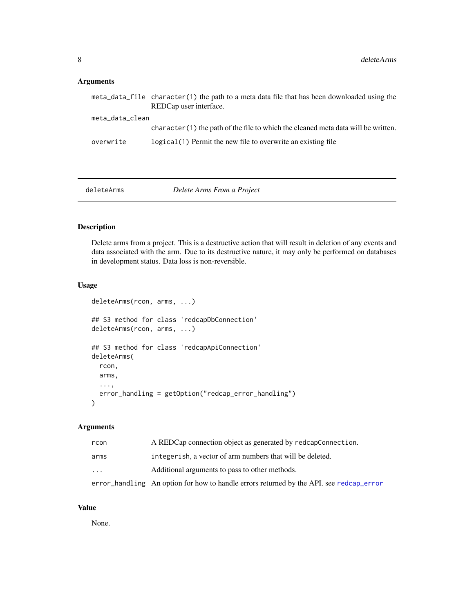### <span id="page-7-0"></span>Arguments

|                 | meta_data_file character(1) the path to a meta data file that has been downloaded using the<br>REDCap user interface. |
|-----------------|-----------------------------------------------------------------------------------------------------------------------|
| meta_data_clean |                                                                                                                       |
|                 | character (1) the path of the file to which the cleaned meta data will be written.                                    |
| overwrite       | logical (1) Permit the new file to overwrite an existing file                                                         |

deleteArms *Delete Arms From a Project*

### Description

Delete arms from a project. This is a destructive action that will result in deletion of any events and data associated with the arm. Due to its destructive nature, it may only be performed on databases in development status. Data loss is non-reversible.

### Usage

```
deleteArms(rcon, arms, ...)
## S3 method for class 'redcapDbConnection'
deleteArms(rcon, arms, ...)
## S3 method for class 'redcapApiConnection'
deleteArms(
 rcon,
 arms,
  ...,
 error_handling = getOption("redcap_error_handling")
\mathcal{L}
```
### Arguments

| rcon      | A REDCap connection object as generated by redcapConnection.                            |
|-----------|-----------------------------------------------------------------------------------------|
| arms      | integerish, a vector of arm numbers that will be deleted.                               |
| $\ddotsc$ | Additional arguments to pass to other methods.                                          |
|           | error_handling An option for how to handle errors returned by the API, see redcap_error |

### Value

None.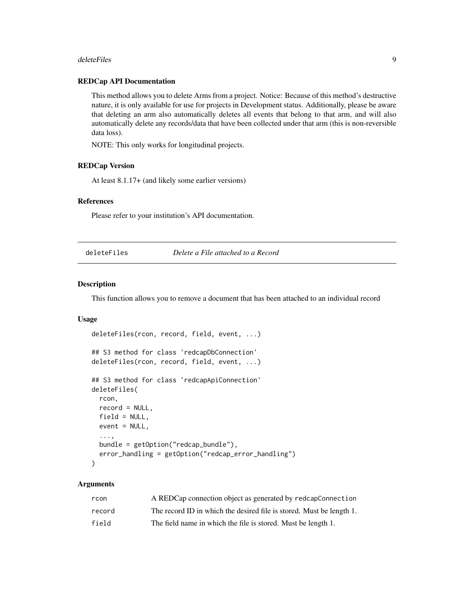#### <span id="page-8-0"></span>deleteFiles **9**9

### REDCap API Documentation

This method allows you to delete Arms from a project. Notice: Because of this method's destructive nature, it is only available for use for projects in Development status. Additionally, please be aware that deleting an arm also automatically deletes all events that belong to that arm, and will also automatically delete any records/data that have been collected under that arm (this is non-reversible data loss).

NOTE: This only works for longitudinal projects.

### REDCap Version

At least 8.1.17+ (and likely some earlier versions)

### References

Please refer to your institution's API documentation.

deleteFiles *Delete a File attached to a Record*

### Description

This function allows you to remove a document that has been attached to an individual record

### Usage

```
deleteFiles(rcon, record, field, event, ...)
## S3 method for class 'redcapDbConnection'
deleteFiles(rcon, record, field, event, ...)
## S3 method for class 'redcapApiConnection'
deleteFiles(
  rcon,
  record = NULL,
 field = NULL,
 event = NULL,...,
 bundle = getOption("redcap_bundle"),
  error_handling = getOption("redcap_error_handling")
\lambda
```
### Arguments

| rcon   | A REDCap connection object as generated by redcapConnection          |
|--------|----------------------------------------------------------------------|
| record | The record ID in which the desired file is stored. Must be length 1. |
| field  | The field name in which the file is stored. Must be length 1.        |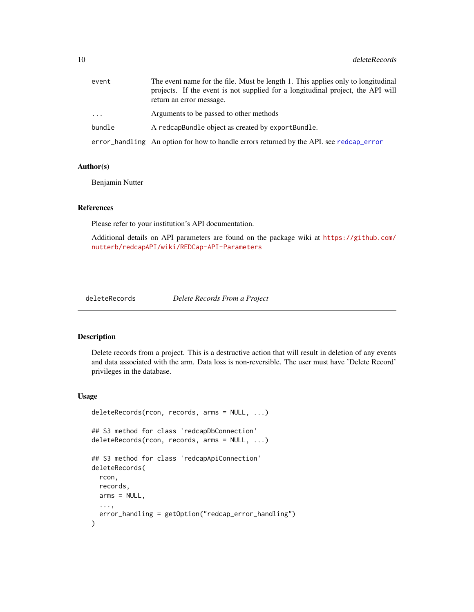<span id="page-9-0"></span>

| event    | The event name for the file. Must be length 1. This applies only to longitudinal<br>projects. If the event is not supplied for a longitudinal project, the API will<br>return an error message. |
|----------|-------------------------------------------------------------------------------------------------------------------------------------------------------------------------------------------------|
| $\cdots$ | Arguments to be passed to other methods                                                                                                                                                         |
| bundle   | A redcapBundle object as created by exportBundle.                                                                                                                                               |
|          | error_handling An option for how to handle errors returned by the API. see redcap_error                                                                                                         |

#### Author(s)

Benjamin Nutter

### References

Please refer to your institution's API documentation.

Additional details on API parameters are found on the package wiki at [https://github.com/](https://github.com/nutterb/redcapAPI/wiki/REDCap-API-Parameters) [nutterb/redcapAPI/wiki/REDCap-API-Parameters](https://github.com/nutterb/redcapAPI/wiki/REDCap-API-Parameters)

deleteRecords *Delete Records From a Project*

### Description

Delete records from a project. This is a destructive action that will result in deletion of any events and data associated with the arm. Data loss is non-reversible. The user must have 'Delete Record' privileges in the database.

```
deleteRecords(rcon, records, arms = NULL, ...)
## S3 method for class 'redcapDbConnection'
deleteRecords(rcon, records, arms = NULL, ...)
## S3 method for class 'redcapApiConnection'
deleteRecords(
  rcon,
 records,
 arms = NULL,
  ...,
  error_handling = getOption("redcap_error_handling")
)
```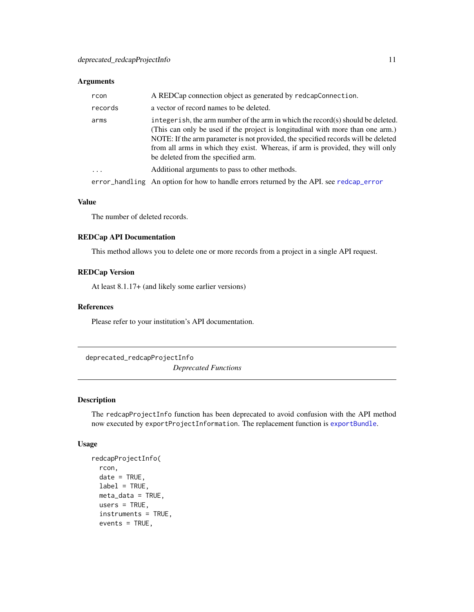### <span id="page-10-0"></span>Arguments

| rcon     | A REDCap connection object as generated by redcapConnection.                                                                                                                                                                                                                                                                                                                    |
|----------|---------------------------------------------------------------------------------------------------------------------------------------------------------------------------------------------------------------------------------------------------------------------------------------------------------------------------------------------------------------------------------|
| records  | a vector of record names to be deleted.                                                                                                                                                                                                                                                                                                                                         |
| arms     | integer ish, the arm number of the arm in which the record(s) should be deleted.<br>(This can only be used if the project is longitudinal with more than one arm.)<br>NOTE: If the arm parameter is not provided, the specified records will be deleted<br>from all arms in which they exist. Whereas, if arm is provided, they will only<br>be deleted from the specified arm. |
| $\cdots$ | Additional arguments to pass to other methods.                                                                                                                                                                                                                                                                                                                                  |
|          | error_handling An option for how to handle errors returned by the API, see redcap_error                                                                                                                                                                                                                                                                                         |

#### Value

The number of deleted records.

### REDCap API Documentation

This method allows you to delete one or more records from a project in a single API request.

### REDCap Version

At least 8.1.17+ (and likely some earlier versions)

### References

Please refer to your institution's API documentation.

deprecated\_redcapProjectInfo

*Deprecated Functions*

### Description

The redcapProjectInfo function has been deprecated to avoid confusion with the API method now executed by exportProjectInformation. The replacement function is [exportBundle](#page-13-1).

```
redcapProjectInfo(
 rcon,
 date = TRUE,label = TRUE,meta_data = TRUE,
 users = TRUE,
 instruments = TRUE,
 events = TRUE,
```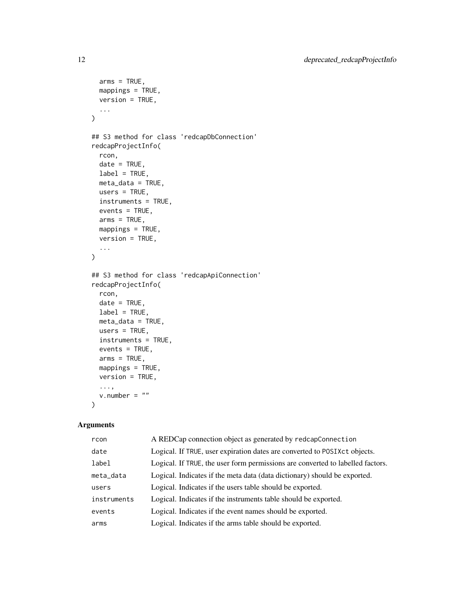```
arms = TRUE,mappings = TRUE,
 version = TRUE,
  ...
\mathcal{L}## S3 method for class 'redcapDbConnection'
redcapProjectInfo(
 rcon,
 date = TRUE,label = TRUE,meta_data = TRUE,
 users = TRUE,
 instruments = TRUE,
 events = TRUE,
  arms = TRUE,mappings = TRUE,
 version = TRUE,
  ...
\mathcal{L}## S3 method for class 'redcapApiConnection'
redcapProjectInfo(
 rcon,
 date = TRUE,label = TRUE,meta_data = TRUE,
 users = TRUE,
  instruments = TRUE,
 events = TRUE,arms = TRUE,mappings = TRUE,
 version = TRUE,...,
  v.number = ""
\mathcal{L}
```
### Arguments

| rcon        | A REDCap connection object as generated by redcapConnection                    |
|-------------|--------------------------------------------------------------------------------|
| date        | Logical. If TRUE, user expiration dates are converted to POSIXct objects.      |
| label       | Logical. If TRUE, the user form permissions are converted to labelled factors. |
| meta_data   | Logical. Indicates if the meta data (data dictionary) should be exported.      |
| users       | Logical. Indicates if the users table should be exported.                      |
| instruments | Logical. Indicates if the instruments table should be exported.                |
| events      | Logical. Indicates if the event names should be exported.                      |
| arms        | Logical. Indicates if the arms table should be exported.                       |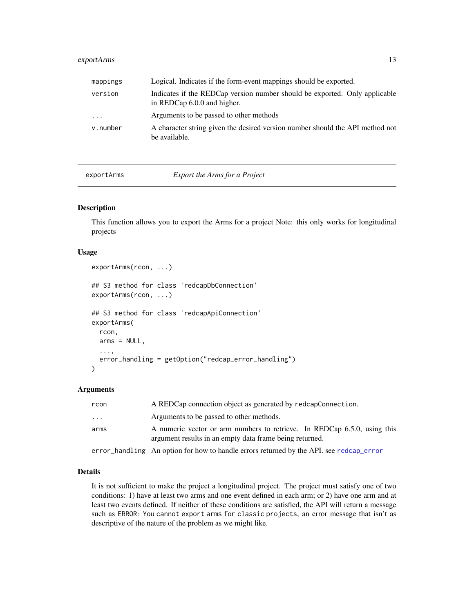### <span id="page-12-0"></span>exportArms 13

| mappings                | Logical. Indicates if the form-event mappings should be exported.                                         |
|-------------------------|-----------------------------------------------------------------------------------------------------------|
| version                 | Indicates if the REDCap version number should be exported. Only applicable<br>in REDCap 6.0.0 and higher. |
| $\cdot$ $\cdot$ $\cdot$ | Arguments to be passed to other methods                                                                   |
| v.number                | A character string given the desired version number should the API method not<br>be available.            |

exportArms *Export the Arms for a Project*

### Description

This function allows you to export the Arms for a project Note: this only works for longitudinal projects

#### Usage

```
exportArms(rcon, ...)
## S3 method for class 'redcapDbConnection'
exportArms(rcon, ...)
## S3 method for class 'redcapApiConnection'
exportArms(
  rcon,
  arms = NULL,...,
  error_handling = getOption("redcap_error_handling")
)
```
### Arguments

| rcon                    | A REDCap connection object as generated by redcapConnection.                                                                        |
|-------------------------|-------------------------------------------------------------------------------------------------------------------------------------|
| $\cdot$ $\cdot$ $\cdot$ | Arguments to be passed to other methods.                                                                                            |
| arms                    | A numeric vector or arm numbers to retrieve. In REDCap 6.5.0, using this<br>argument results in an empty data frame being returned. |
|                         | error_handling An option for how to handle errors returned by the API, see redcap_error                                             |

### Details

It is not sufficient to make the project a longitudinal project. The project must satisfy one of two conditions: 1) have at least two arms and one event defined in each arm; or 2) have one arm and at least two events defined. If neither of these conditions are satisfied, the API will return a message such as ERROR: You cannot export arms for classic projects, an error message that isn't as descriptive of the nature of the problem as we might like.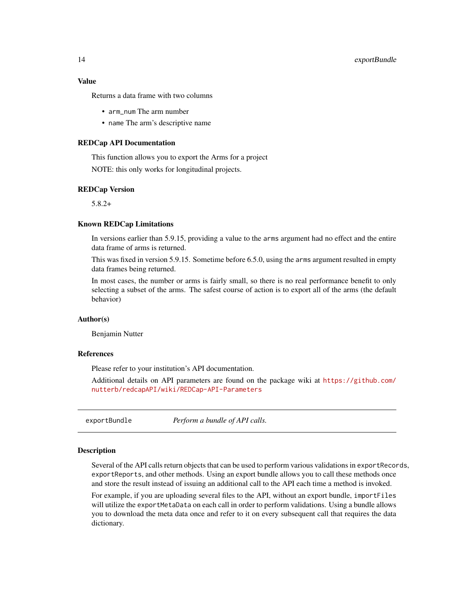### <span id="page-13-0"></span>Value

Returns a data frame with two columns

- arm\_num The arm number
- name The arm's descriptive name

#### REDCap API Documentation

This function allows you to export the Arms for a project NOTE: this only works for longitudinal projects.

#### REDCap Version

5.8.2+

#### Known REDCap Limitations

In versions earlier than 5.9.15, providing a value to the arms argument had no effect and the entire data frame of arms is returned.

This was fixed in version 5.9.15. Sometime before 6.5.0, using the arms argument resulted in empty data frames being returned.

In most cases, the number or arms is fairly small, so there is no real performance benefit to only selecting a subset of the arms. The safest course of action is to export all of the arms (the default behavior)

#### Author(s)

Benjamin Nutter

#### References

Please refer to your institution's API documentation.

Additional details on API parameters are found on the package wiki at [https://github.com/](https://github.com/nutterb/redcapAPI/wiki/REDCap-API-Parameters) [nutterb/redcapAPI/wiki/REDCap-API-Parameters](https://github.com/nutterb/redcapAPI/wiki/REDCap-API-Parameters)

<span id="page-13-1"></span>exportBundle *Perform a bundle of API calls.*

### Description

Several of the API calls return objects that can be used to perform various validations in exportRecords, exportReports, and other methods. Using an export bundle allows you to call these methods once and store the result instead of issuing an additional call to the API each time a method is invoked.

For example, if you are uploading several files to the API, without an export bundle, importFiles will utilize the exportMetaData on each call in order to perform validations. Using a bundle allows you to download the meta data once and refer to it on every subsequent call that requires the data dictionary.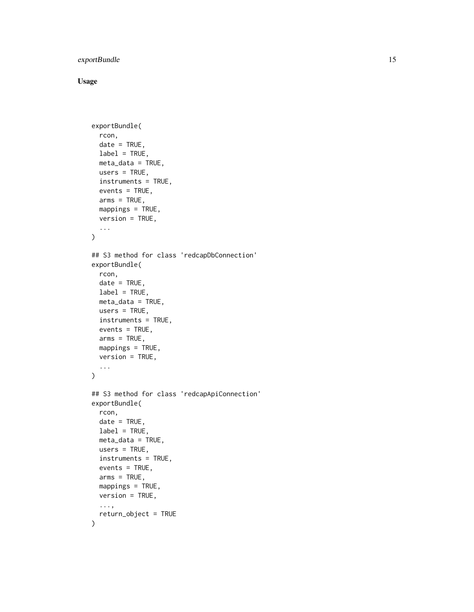### exportBundle 15

```
exportBundle(
  rcon,
  date = TRUE,
 label = TRUE,meta_data = TRUE,
 users = TRUE,
  instruments = TRUE,
  events = TRUE,
  arms = TRUE,mappings = TRUE,
 version = TRUE,
  ...
\mathcal{L}## S3 method for class 'redcapDbConnection'
exportBundle(
  rcon,
  date = TRUE,label = TRUE,
 meta_data = TRUE,
 users = TRUE,
  instruments = TRUE,
 events = TRUE,
  arms = TRUE,
 mappings = TRUE,version = TRUE,...
\mathcal{L}## S3 method for class 'redcapApiConnection'
exportBundle(
  rcon,
 date = TRUE,
 label = TRUE,meta_data = TRUE,
 users = TRUE,
  instruments = TRUE,
 events = TRUE,
  arms = TRUE,
 mappings = TRUE,version = TRUE,
  ...,
  return_object = TRUE
\mathcal{L}
```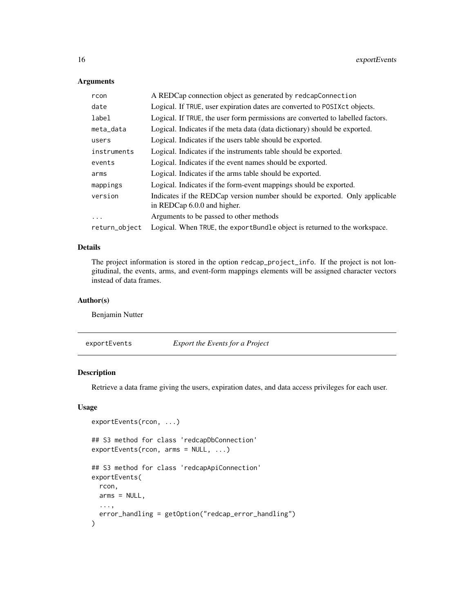### <span id="page-15-0"></span>Arguments

| rcon          | A REDCap connection object as generated by redcapConnection                                               |
|---------------|-----------------------------------------------------------------------------------------------------------|
| date          | Logical. If TRUE, user expiration dates are converted to POSIXct objects.                                 |
| label         | Logical. If TRUE, the user form permissions are converted to labelled factors.                            |
| meta_data     | Logical. Indicates if the meta data (data dictionary) should be exported.                                 |
| users         | Logical. Indicates if the users table should be exported.                                                 |
| instruments   | Logical. Indicates if the instruments table should be exported.                                           |
| events        | Logical. Indicates if the event names should be exported.                                                 |
| arms          | Logical. Indicates if the arms table should be exported.                                                  |
| mappings      | Logical. Indicates if the form-event mappings should be exported.                                         |
| version       | Indicates if the REDCap version number should be exported. Only applicable<br>in REDCap 6.0.0 and higher. |
| $\ddotsc$     | Arguments to be passed to other methods                                                                   |
| return_object | Logical. When TRUE, the exportBundle object is returned to the workspace.                                 |

### Details

The project information is stored in the option redcap\_project\_info. If the project is not longitudinal, the events, arms, and event-form mappings elements will be assigned character vectors instead of data frames.

### Author(s)

Benjamin Nutter

exportEvents *Export the Events for a Project*

### Description

Retrieve a data frame giving the users, expiration dates, and data access privileges for each user.

```
exportEvents(rcon, ...)
## S3 method for class 'redcapDbConnection'
exportEvents(rcon, arms = NULL, ...)
## S3 method for class 'redcapApiConnection'
exportEvents(
  rcon,
  arms = NULL,
  ...,
  error_handling = getOption("redcap_error_handling")
)
```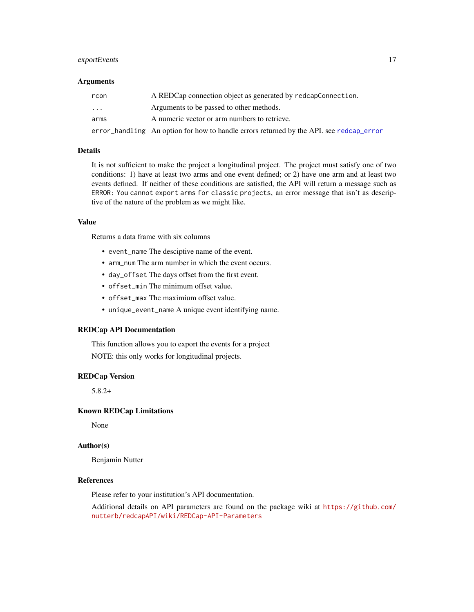### <span id="page-16-0"></span>exportEvents 17

#### **Arguments**

| rcon     | A REDCap connection object as generated by redcapConnection.                            |
|----------|-----------------------------------------------------------------------------------------|
| $\cdots$ | Arguments to be passed to other methods.                                                |
| arms     | A numeric vector or arm numbers to retrieve.                                            |
|          | error_handling An option for how to handle errors returned by the API, see redcap_error |

### Details

It is not sufficient to make the project a longitudinal project. The project must satisfy one of two conditions: 1) have at least two arms and one event defined; or 2) have one arm and at least two events defined. If neither of these conditions are satisfied, the API will return a message such as ERROR: You cannot export arms for classic projects, an error message that isn't as descriptive of the nature of the problem as we might like.

#### Value

Returns a data frame with six columns

- event\_name The desciptive name of the event.
- arm\_num The arm number in which the event occurs.
- day\_offset The days offset from the first event.
- offset\_min The minimum offset value.
- offset\_max The maximium offset value.
- unique\_event\_name A unique event identifying name.

#### REDCap API Documentation

This function allows you to export the events for a project NOTE: this only works for longitudinal projects.

#### REDCap Version

5.8.2+

#### Known REDCap Limitations

None

### Author(s)

Benjamin Nutter

### References

Please refer to your institution's API documentation.

Additional details on API parameters are found on the package wiki at [https://github.com/](https://github.com/nutterb/redcapAPI/wiki/REDCap-API-Parameters) [nutterb/redcapAPI/wiki/REDCap-API-Parameters](https://github.com/nutterb/redcapAPI/wiki/REDCap-API-Parameters)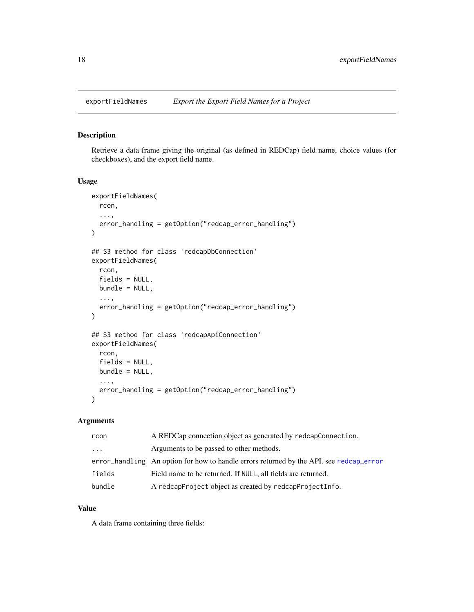<span id="page-17-0"></span>

### Description

Retrieve a data frame giving the original (as defined in REDCap) field name, choice values (for checkboxes), and the export field name.

#### Usage

```
exportFieldNames(
  rcon,
  ...,
  error_handling = getOption("redcap_error_handling")
)
## S3 method for class 'redcapDbConnection'
exportFieldNames(
  rcon,
  fields = NULL,
 bundle = NULL,
  ...,
  error_handling = getOption("redcap_error_handling")
)
## S3 method for class 'redcapApiConnection'
exportFieldNames(
  rcon,
  fields = NULL,
 bundle = NULL,
  ...,
  error_handling = getOption("redcap_error_handling")
\mathcal{L}
```
### Arguments

| rcon     | A REDCap connection object as generated by redcapConnection.                            |
|----------|-----------------------------------------------------------------------------------------|
| $\ddots$ | Arguments to be passed to other methods.                                                |
|          | error handling An option for how to handle errors returned by the API, see redcap error |
| fields   | Field name to be returned. If NULL, all fields are returned.                            |
| bundle   | A redcapProject object as created by redcapProjectInfo.                                 |

#### Value

A data frame containing three fields: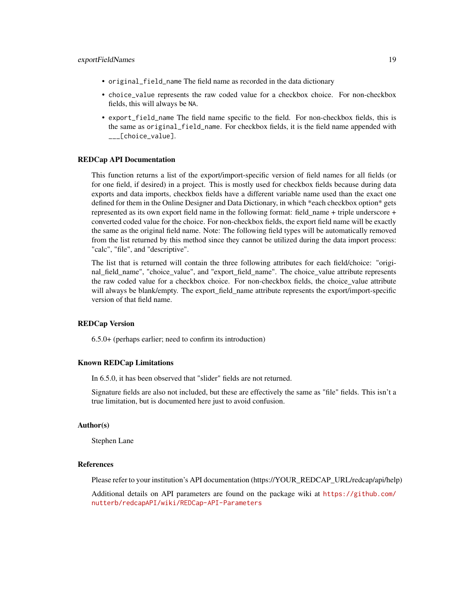- original\_field\_name The field name as recorded in the data dictionary
- choice\_value represents the raw coded value for a checkbox choice. For non-checkbox fields, this will always be NA.
- export\_field\_name The field name specific to the field. For non-checkbox fields, this is the same as original\_field\_name. For checkbox fields, it is the field name appended with \_\_\_[choice\_value].

#### REDCap API Documentation

This function returns a list of the export/import-specific version of field names for all fields (or for one field, if desired) in a project. This is mostly used for checkbox fields because during data exports and data imports, checkbox fields have a different variable name used than the exact one defined for them in the Online Designer and Data Dictionary, in which \*each checkbox option\* gets represented as its own export field name in the following format: field\_name + triple underscore + converted coded value for the choice. For non-checkbox fields, the export field name will be exactly the same as the original field name. Note: The following field types will be automatically removed from the list returned by this method since they cannot be utilized during the data import process: "calc", "file", and "descriptive".

The list that is returned will contain the three following attributes for each field/choice: "original\_field\_name", "choice\_value", and "export\_field\_name". The choice\_value attribute represents the raw coded value for a checkbox choice. For non-checkbox fields, the choice\_value attribute will always be blank/empty. The export\_field\_name attribute represents the export/import-specific version of that field name.

### REDCap Version

6.5.0+ (perhaps earlier; need to confirm its introduction)

#### Known REDCap Limitations

In 6.5.0, it has been observed that "slider" fields are not returned.

Signature fields are also not included, but these are effectively the same as "file" fields. This isn't a true limitation, but is documented here just to avoid confusion.

#### Author(s)

Stephen Lane

#### References

Please refer to your institution's API documentation (https://YOUR\_REDCAP\_URL/redcap/api/help)

Additional details on API parameters are found on the package wiki at [https://github.com/](https://github.com/nutterb/redcapAPI/wiki/REDCap-API-Parameters) [nutterb/redcapAPI/wiki/REDCap-API-Parameters](https://github.com/nutterb/redcapAPI/wiki/REDCap-API-Parameters)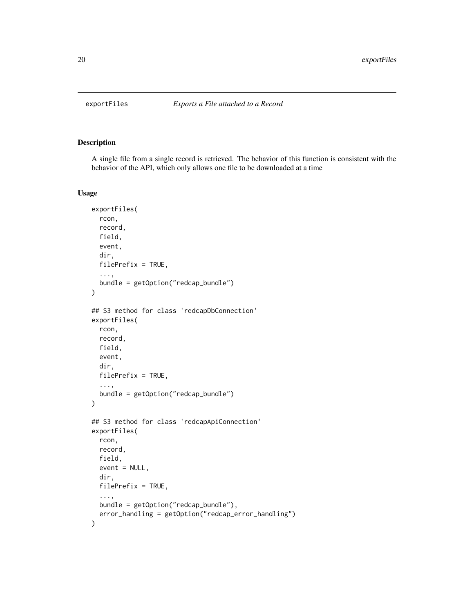<span id="page-19-0"></span>

### Description

A single file from a single record is retrieved. The behavior of this function is consistent with the behavior of the API, which only allows one file to be downloaded at a time

```
exportFiles(
  rcon,
  record,
  field,
  event,
  dir,
  filePrefix = TRUE,
  ...,
 bundle = getOption("redcap_bundle")
)
## S3 method for class 'redcapDbConnection'
exportFiles(
  rcon,
  record,
  field,
  event,
  dir,
  filePrefix = TRUE,
  ...,
  bundle = getOption("redcap_bundle")
\mathcal{L}## S3 method for class 'redcapApiConnection'
exportFiles(
  rcon,
  record,
  field,
  event = NULL,
  dir,
  filePrefix = TRUE,
  ...,
 bundle = getOption("redcap_bundle"),
  error_handling = getOption("redcap_error_handling")
\mathcal{E}
```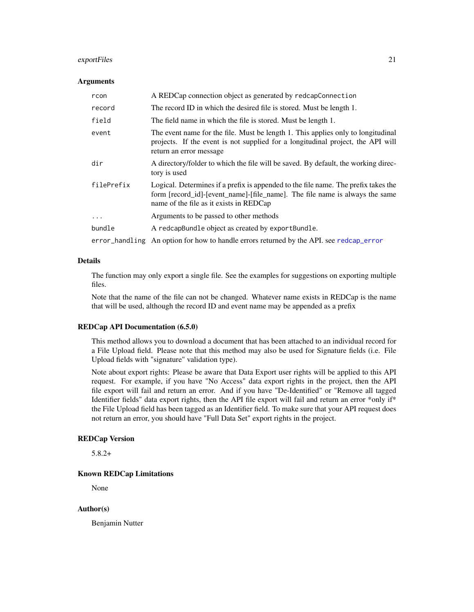### <span id="page-20-0"></span>exportFiles 21

#### Arguments

| rcon       | A REDCap connection object as generated by redcapConnection                                                                                                                                                  |
|------------|--------------------------------------------------------------------------------------------------------------------------------------------------------------------------------------------------------------|
| record     | The record ID in which the desired file is stored. Must be length 1.                                                                                                                                         |
| field      | The field name in which the file is stored. Must be length 1.                                                                                                                                                |
| event      | The event name for the file. Must be length 1. This applies only to longitudinal<br>projects. If the event is not supplied for a longitudinal project, the API will<br>return an error message               |
| dir        | A directory/folder to which the file will be saved. By default, the working direc-<br>tory is used                                                                                                           |
| filePrefix | Logical. Determines if a prefix is appended to the file name. The prefix takes the<br>form [record_id]-[event_name]-[file_name]. The file name is always the same<br>name of the file as it exists in REDCap |
| $\ddots$ . | Arguments to be passed to other methods                                                                                                                                                                      |
| bundle     | A redcapBundle object as created by exportBundle.                                                                                                                                                            |
|            | error_handling An option for how to handle errors returned by the API. see redcap_error                                                                                                                      |

#### Details

The function may only export a single file. See the examples for suggestions on exporting multiple files.

Note that the name of the file can not be changed. Whatever name exists in REDCap is the name that will be used, although the record ID and event name may be appended as a prefix

### REDCap API Documentation (6.5.0)

This method allows you to download a document that has been attached to an individual record for a File Upload field. Please note that this method may also be used for Signature fields (i.e. File Upload fields with "signature" validation type).

Note about export rights: Please be aware that Data Export user rights will be applied to this API request. For example, if you have "No Access" data export rights in the project, then the API file export will fail and return an error. And if you have "De-Identified" or "Remove all tagged Identifier fields" data export rights, then the API file export will fail and return an error \*only if\* the File Upload field has been tagged as an Identifier field. To make sure that your API request does not return an error, you should have "Full Data Set" export rights in the project.

### REDCap Version

5.8.2+

#### Known REDCap Limitations

None

#### Author(s)

Benjamin Nutter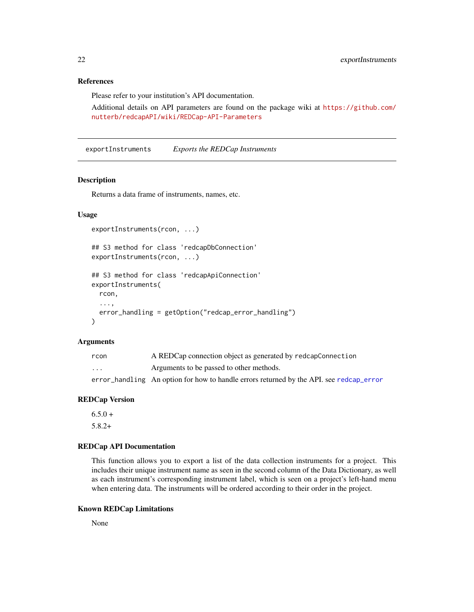### <span id="page-21-0"></span>References

Please refer to your institution's API documentation.

Additional details on API parameters are found on the package wiki at [https://github.com/](https://github.com/nutterb/redcapAPI/wiki/REDCap-API-Parameters) [nutterb/redcapAPI/wiki/REDCap-API-Parameters](https://github.com/nutterb/redcapAPI/wiki/REDCap-API-Parameters)

exportInstruments *Exports the REDCap Instruments*

### Description

Returns a data frame of instruments, names, etc.

### Usage

```
exportInstruments(rcon, ...)
## S3 method for class 'redcapDbConnection'
exportInstruments(rcon, ...)
## S3 method for class 'redcapApiConnection'
exportInstruments(
  rcon,
  ...,
  error_handling = getOption("redcap_error_handling")
\lambda
```
#### Arguments

| rcon    | A REDCap connection object as generated by redcapConnection                             |
|---------|-----------------------------------------------------------------------------------------|
| $\cdot$ | Arguments to be passed to other methods.                                                |
|         | error_handling An option for how to handle errors returned by the API, see redcap_error |

### REDCap Version

 $6.5.0 +$ 5.8.2+

#### REDCap API Documentation

This function allows you to export a list of the data collection instruments for a project. This includes their unique instrument name as seen in the second column of the Data Dictionary, as well as each instrument's corresponding instrument label, which is seen on a project's left-hand menu when entering data. The instruments will be ordered according to their order in the project.

#### Known REDCap Limitations

None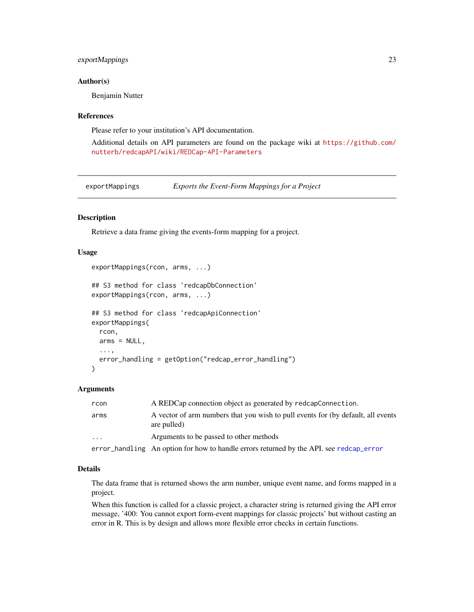### <span id="page-22-0"></span>exportMappings 23

#### Author(s)

Benjamin Nutter

#### References

Please refer to your institution's API documentation.

Additional details on API parameters are found on the package wiki at [https://github.com/](https://github.com/nutterb/redcapAPI/wiki/REDCap-API-Parameters) [nutterb/redcapAPI/wiki/REDCap-API-Parameters](https://github.com/nutterb/redcapAPI/wiki/REDCap-API-Parameters)

exportMappings *Exports the Event-Form Mappings for a Project*

### Description

Retrieve a data frame giving the events-form mapping for a project.

### Usage

```
exportMappings(rcon, arms, ...)
```

```
## S3 method for class 'redcapDbConnection'
exportMappings(rcon, arms, ...)
## S3 method for class 'redcapApiConnection'
exportMappings(
  rcon,
 arms = NULL,...,
  error_handling = getOption("redcap_error_handling")
```
### $\lambda$

#### Arguments

| rcon     | A REDCap connection object as generated by redcapConnection.                                    |
|----------|-------------------------------------------------------------------------------------------------|
| arms     | A vector of arm numbers that you wish to pull events for (by default, all events<br>are pulled) |
| $\cdots$ | Arguments to be passed to other methods                                                         |
|          | error_handling An option for how to handle errors returned by the API. see redcap_error         |

#### Details

The data frame that is returned shows the arm number, unique event name, and forms mapped in a project.

When this function is called for a classic project, a character string is returned giving the API error message, '400: You cannot export form-event mappings for classic projects' but without casting an error in R. This is by design and allows more flexible error checks in certain functions.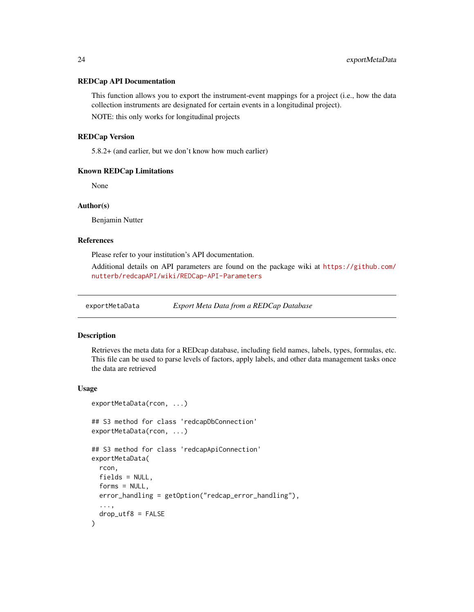#### <span id="page-23-0"></span>REDCap API Documentation

This function allows you to export the instrument-event mappings for a project (i.e., how the data collection instruments are designated for certain events in a longitudinal project).

NOTE: this only works for longitudinal projects

### REDCap Version

5.8.2+ (and earlier, but we don't know how much earlier)

#### Known REDCap Limitations

None

#### Author(s)

Benjamin Nutter

#### References

Please refer to your institution's API documentation.

Additional details on API parameters are found on the package wiki at [https://github.com/](https://github.com/nutterb/redcapAPI/wiki/REDCap-API-Parameters) [nutterb/redcapAPI/wiki/REDCap-API-Parameters](https://github.com/nutterb/redcapAPI/wiki/REDCap-API-Parameters)

exportMetaData *Export Meta Data from a REDCap Database*

#### Description

Retrieves the meta data for a REDcap database, including field names, labels, types, formulas, etc. This file can be used to parse levels of factors, apply labels, and other data management tasks once the data are retrieved

```
exportMetaData(rcon, ...)
## S3 method for class 'redcapDbConnection'
exportMetaData(rcon, ...)
## S3 method for class 'redcapApiConnection'
exportMetaData(
 rcon,
  fields = NULL,
  forms = NULL,
  error_handling = getOption("redcap_error_handling"),
  ...,
 drop\_utf8 = FALSE)
```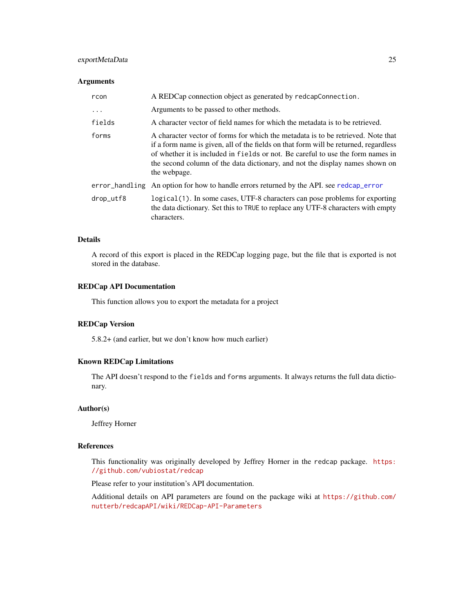### <span id="page-24-0"></span>exportMetaData 25

#### Arguments

| rcon      | A REDCap connection object as generated by redcapConnection.                                                                                                                                                                                                                                                                                                |  |
|-----------|-------------------------------------------------------------------------------------------------------------------------------------------------------------------------------------------------------------------------------------------------------------------------------------------------------------------------------------------------------------|--|
| $\ddots$  | Arguments to be passed to other methods.                                                                                                                                                                                                                                                                                                                    |  |
| fields    | A character vector of field names for which the metadata is to be retrieved.                                                                                                                                                                                                                                                                                |  |
| forms     | A character vector of forms for which the metadata is to be retrieved. Note that<br>if a form name is given, all of the fields on that form will be returned, regardless<br>of whether it is included in fields or not. Be careful to use the form names in<br>the second column of the data dictionary, and not the display names shown on<br>the webpage. |  |
|           | error_handling An option for how to handle errors returned by the API. see redcap_error                                                                                                                                                                                                                                                                     |  |
| drop_utf8 | logical(1). In some cases, UTF-8 characters can pose problems for exporting<br>the data dictionary. Set this to TRUE to replace any UTF-8 characters with empty<br>characters.                                                                                                                                                                              |  |

### Details

A record of this export is placed in the REDCap logging page, but the file that is exported is not stored in the database.

### REDCap API Documentation

This function allows you to export the metadata for a project

#### REDCap Version

5.8.2+ (and earlier, but we don't know how much earlier)

### Known REDCap Limitations

The API doesn't respond to the fields and forms arguments. It always returns the full data dictionary.

### Author(s)

Jeffrey Horner

### References

This functionality was originally developed by Jeffrey Horner in the redcap package. [https:](https://github.com/vubiostat/redcap) [//github.com/vubiostat/redcap](https://github.com/vubiostat/redcap)

Please refer to your institution's API documentation.

Additional details on API parameters are found on the package wiki at [https://github.com/](https://github.com/nutterb/redcapAPI/wiki/REDCap-API-Parameters) [nutterb/redcapAPI/wiki/REDCap-API-Parameters](https://github.com/nutterb/redcapAPI/wiki/REDCap-API-Parameters)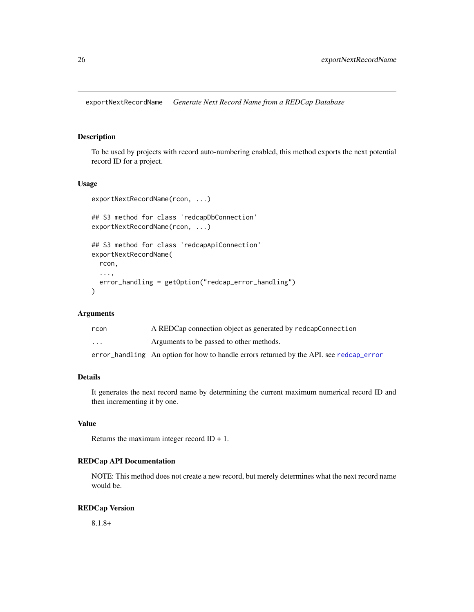<span id="page-25-0"></span>exportNextRecordName *Generate Next Record Name from a REDCap Database*

### Description

To be used by projects with record auto-numbering enabled, this method exports the next potential record ID for a project.

### Usage

```
exportNextRecordName(rcon, ...)
## S3 method for class 'redcapDbConnection'
exportNextRecordName(rcon, ...)
## S3 method for class 'redcapApiConnection'
exportNextRecordName(
 rcon,
  ...,
 error_handling = getOption("redcap_error_handling")
)
```
### Arguments

| rcon                    | A REDCap connection object as generated by redcapConnection                             |
|-------------------------|-----------------------------------------------------------------------------------------|
| $\cdot$ $\cdot$ $\cdot$ | Arguments to be passed to other methods.                                                |
|                         | error_handling An option for how to handle errors returned by the API. see redcap_error |

#### Details

It generates the next record name by determining the current maximum numerical record ID and then incrementing it by one.

#### Value

Returns the maximum integer record  $ID + 1$ .

#### REDCap API Documentation

NOTE: This method does not create a new record, but merely determines what the next record name would be.

#### REDCap Version

8.1.8+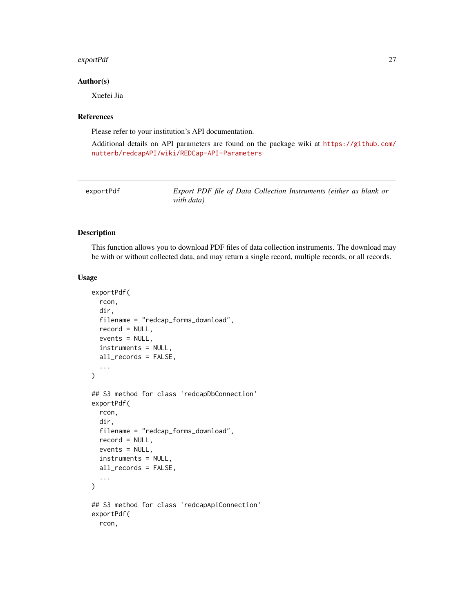#### <span id="page-26-0"></span>exportPdf 27

### Author(s)

Xuefei Jia

### References

Please refer to your institution's API documentation.

Additional details on API parameters are found on the package wiki at [https://github.com/](https://github.com/nutterb/redcapAPI/wiki/REDCap-API-Parameters) [nutterb/redcapAPI/wiki/REDCap-API-Parameters](https://github.com/nutterb/redcapAPI/wiki/REDCap-API-Parameters)

| exportPdf | Export PDF file of Data Collection Instruments (either as blank or |
|-----------|--------------------------------------------------------------------|
|           | with data)                                                         |

#### Description

This function allows you to download PDF files of data collection instruments. The download may be with or without collected data, and may return a single record, multiple records, or all records.

```
exportPdf(
  rcon,
  dir,
  filename = "redcap_forms_download",
  record = NULL,
  events = NULL,
  instruments = NULL,
  all_records = FALSE,
  ...
)
## S3 method for class 'redcapDbConnection'
exportPdf(
  rcon,
  dir,
  filename = "redcap_forms_download",
  record = NULL,
  events = NULL,
  instruments = NULL,
  all_records = FALSE,
  ...
)
## S3 method for class 'redcapApiConnection'
exportPdf(
  rcon,
```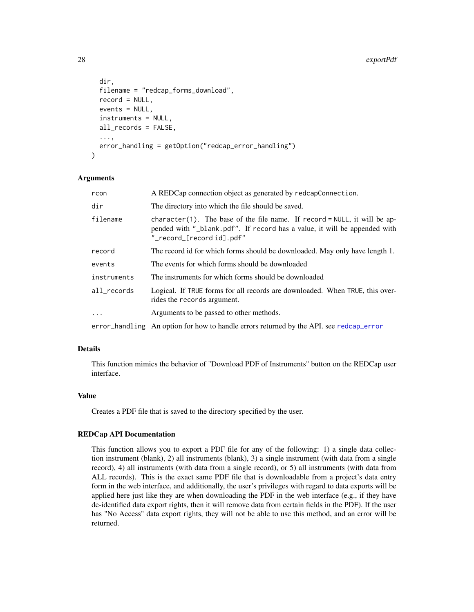```
dir,
filename = "redcap_forms_download",
record = NULL,
events = NULL,
instruments = NULL,
all_records = FALSE,
...,
error_handling = getOption("redcap_error_handling")
```
### Arguments

)

| rcon        | A REDCap connection object as generated by redcapConnection.                                                                                                                           |
|-------------|----------------------------------------------------------------------------------------------------------------------------------------------------------------------------------------|
| dir         | The directory into which the file should be saved.                                                                                                                                     |
| filename    | character(1). The base of the file name. If record = $NULL$ , it will be ap-<br>pended with "_blank.pdf". If record has a value, it will be appended with<br>"_record_[record id].pdf" |
| record      | The record id for which forms should be downloaded. May only have length 1.                                                                                                            |
| events      | The events for which forms should be downloaded                                                                                                                                        |
| instruments | The instruments for which forms should be downloaded                                                                                                                                   |
| all_records | Logical. If TRUE forms for all records are downloaded. When TRUE, this over-<br>rides the records argument.                                                                            |
| $\ddots$ .  | Arguments to be passed to other methods.                                                                                                                                               |
|             | error_handling An option for how to handle errors returned by the API. see redcap_error                                                                                                |

### Details

This function mimics the behavior of "Download PDF of Instruments" button on the REDCap user interface.

### Value

Creates a PDF file that is saved to the directory specified by the user.

#### REDCap API Documentation

This function allows you to export a PDF file for any of the following: 1) a single data collection instrument (blank), 2) all instruments (blank), 3) a single instrument (with data from a single record), 4) all instruments (with data from a single record), or 5) all instruments (with data from ALL records). This is the exact same PDF file that is downloadable from a project's data entry form in the web interface, and additionally, the user's privileges with regard to data exports will be applied here just like they are when downloading the PDF in the web interface (e.g., if they have de-identified data export rights, then it will remove data from certain fields in the PDF). If the user has "No Access" data export rights, they will not be able to use this method, and an error will be returned.

<span id="page-27-0"></span>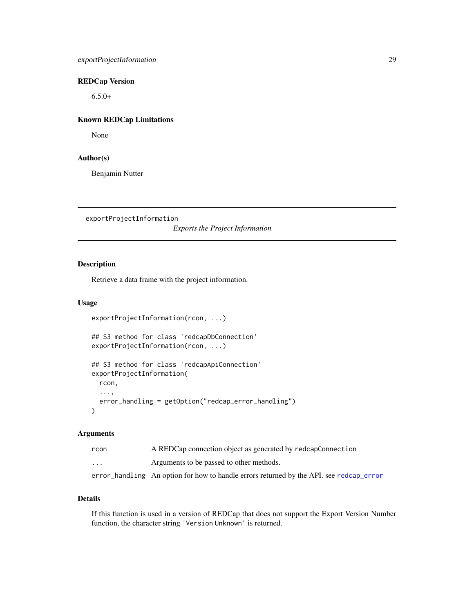### <span id="page-28-0"></span>REDCap Version

 $6.5.0+$ 

### Known REDCap Limitations

None

### Author(s)

Benjamin Nutter

exportProjectInformation

*Exports the Project Information*

### Description

Retrieve a data frame with the project information.

### Usage

```
exportProjectInformation(rcon, ...)
## S3 method for class 'redcapDbConnection'
exportProjectInformation(rcon, ...)
## S3 method for class 'redcapApiConnection'
exportProjectInformation(
  rcon,
  ...,
  error_handling = getOption("redcap_error_handling")
)
```
### Arguments

| rcon                    | A REDCap connection object as generated by redcapConnection                             |
|-------------------------|-----------------------------------------------------------------------------------------|
| $\cdot$ $\cdot$ $\cdot$ | Arguments to be passed to other methods.                                                |
|                         | error_handling An option for how to handle errors returned by the API, see redcap_error |

### Details

If this function is used in a version of REDCap that does not support the Export Version Number function, the character string 'Version Unknown' is returned.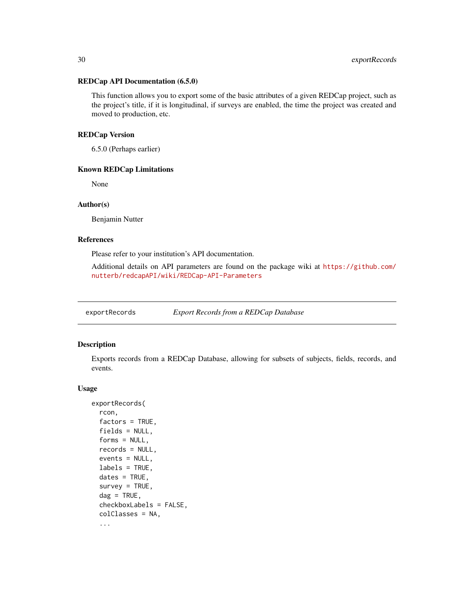#### <span id="page-29-0"></span>REDCap API Documentation (6.5.0)

This function allows you to export some of the basic attributes of a given REDCap project, such as the project's title, if it is longitudinal, if surveys are enabled, the time the project was created and moved to production, etc.

#### REDCap Version

6.5.0 (Perhaps earlier)

### Known REDCap Limitations

None

### Author(s)

Benjamin Nutter

#### References

Please refer to your institution's API documentation.

Additional details on API parameters are found on the package wiki at [https://github.com/](https://github.com/nutterb/redcapAPI/wiki/REDCap-API-Parameters) [nutterb/redcapAPI/wiki/REDCap-API-Parameters](https://github.com/nutterb/redcapAPI/wiki/REDCap-API-Parameters)

exportRecords *Export Records from a REDCap Database*

### Description

Exports records from a REDCap Database, allowing for subsets of subjects, fields, records, and events.

```
exportRecords(
  rcon,
  factors = TRUE,
 fields = NULL,
  forms = NULL,
  records = NULL,
  events = NULL,labels = TRUE,
  dates = TRUE,
  survey = TRUE,dag = TRUE,checkboxLabels = FALSE,
  colClasses = NA,
  ...
```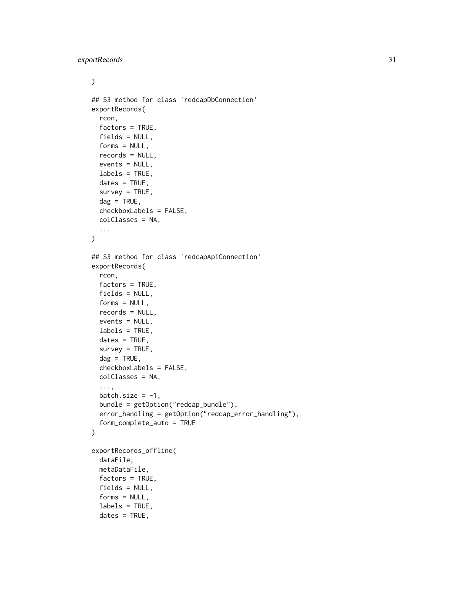$\mathcal{L}$ 

```
## S3 method for class 'redcapDbConnection'
exportRecords(
  rcon,
 factors = TRUE,
 fields = NULL,
 forms = NULL,
 records = NULL,
 events = NULL,labels = TRUE,
  dates = TRUE,survey = TRUE,\text{dag} = \text{TRUE},
 checkboxLabels = FALSE,
 colClasses = NA,
  ...
\mathcal{L}## S3 method for class 'redcapApiConnection'
exportRecords(
 rcon,
 factors = TRUE,
 fields = NULL,
 forms = NULL,
 records = NULL,
  events = NULL,labels = TRUE,
 dates = TRUE,survey = TRUE,dag = TRUE,checkboxLabels = FALSE,
 colClasses = NA,
  ...,
 batch.size = -1,
 bundle = getOption("redcap_bundle"),
 error_handling = getOption("redcap_error_handling"),
 form_complete_auto = TRUE
\lambdaexportRecords_offline(
 dataFile,
 metaDataFile,
 factors = TRUE,
  fields = NULL,
```
forms = NULL, labels = TRUE,  $dates = TRUE,$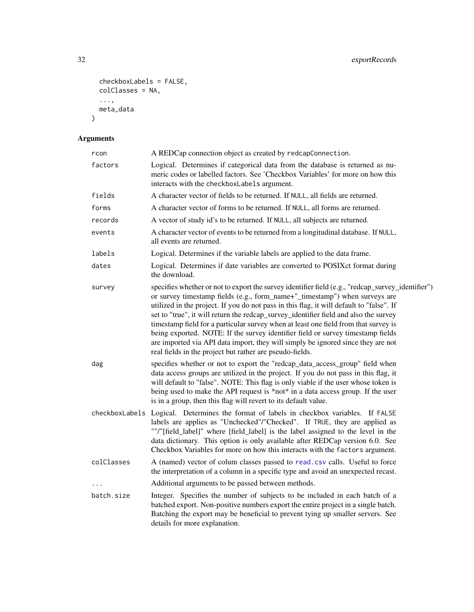```
checkboxLabels = FALSE,
  colClasses = NA,
  ...,
 meta_data
\mathcal{L}
```
## Arguments

| rcon       | A REDCap connection object as created by redcapConnection.                                                                                                                                                                                                                                                                                                                                                                                                                                                                                                                                                                                                                                    |
|------------|-----------------------------------------------------------------------------------------------------------------------------------------------------------------------------------------------------------------------------------------------------------------------------------------------------------------------------------------------------------------------------------------------------------------------------------------------------------------------------------------------------------------------------------------------------------------------------------------------------------------------------------------------------------------------------------------------|
| factors    | Logical. Determines if categorical data from the database is returned as nu-<br>meric codes or labelled factors. See 'Checkbox Variables' for more on how this<br>interacts with the checkboxLabels argument.                                                                                                                                                                                                                                                                                                                                                                                                                                                                                 |
| fields     | A character vector of fields to be returned. If NULL, all fields are returned.                                                                                                                                                                                                                                                                                                                                                                                                                                                                                                                                                                                                                |
| forms      | A character vector of forms to be returned. If NULL, all forms are returned.                                                                                                                                                                                                                                                                                                                                                                                                                                                                                                                                                                                                                  |
| records    | A vector of study id's to be returned. If NULL, all subjects are returned.                                                                                                                                                                                                                                                                                                                                                                                                                                                                                                                                                                                                                    |
| events     | A character vector of events to be returned from a longitudinal database. If NULL,<br>all events are returned.                                                                                                                                                                                                                                                                                                                                                                                                                                                                                                                                                                                |
| labels     | Logical. Determines if the variable labels are applied to the data frame.                                                                                                                                                                                                                                                                                                                                                                                                                                                                                                                                                                                                                     |
| dates      | Logical. Determines if date variables are converted to POSIXct format during<br>the download.                                                                                                                                                                                                                                                                                                                                                                                                                                                                                                                                                                                                 |
| survey     | specifies whether or not to export the survey identifier field (e.g., "redcap_survey_identifier")<br>or survey timestamp fields (e.g., form_name+"_timestamp") when surveys are<br>utilized in the project. If you do not pass in this flag, it will default to "false". If<br>set to "true", it will return the redcap_survey_identifier field and also the survey<br>timestamp field for a particular survey when at least one field from that survey is<br>being exported. NOTE: If the survey identifier field or survey timestamp fields<br>are imported via API data import, they will simply be ignored since they are not<br>real fields in the project but rather are pseudo-fields. |
| dag        | specifies whether or not to export the "redcap_data_access_group" field when<br>data access groups are utilized in the project. If you do not pass in this flag, it<br>will default to "false". NOTE: This flag is only viable if the user whose token is<br>being used to make the API request is *not* in a data access group. If the user<br>is in a group, then this flag will revert to its default value.                                                                                                                                                                                                                                                                               |
|            | checkboxLabels Logical. Determines the format of labels in checkbox variables. If FALSE<br>labels are applies as "Unchecked"/"Checked". If TRUE, they are applied as<br>""/"[field_label]" where [field_label] is the label assigned to the level in the<br>data dictionary. This option is only available after REDCap version 6.0. See<br>Checkbox Variables for more on how this interacts with the factors argument.                                                                                                                                                                                                                                                                      |
| colClasses | A (named) vector of colum classes passed to read.csv calls. Useful to force<br>the interpretation of a column in a specific type and avoid an unexpected recast.                                                                                                                                                                                                                                                                                                                                                                                                                                                                                                                              |
|            | Additional arguments to be passed between methods.                                                                                                                                                                                                                                                                                                                                                                                                                                                                                                                                                                                                                                            |
| batch.size | Integer. Specifies the number of subjects to be included in each batch of a<br>batched export. Non-positive numbers export the entire project in a single batch.<br>Batching the export may be beneficial to prevent tying up smaller servers. See<br>details for more explanation.                                                                                                                                                                                                                                                                                                                                                                                                           |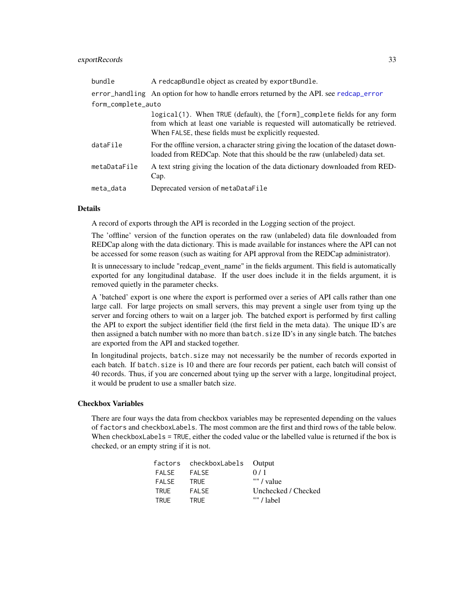### <span id="page-32-0"></span>exportRecords 33

| bundle             | A redcapBundle object as created by exportBundle.                                                                                                                                                                    |
|--------------------|----------------------------------------------------------------------------------------------------------------------------------------------------------------------------------------------------------------------|
|                    | error_handling An option for how to handle errors returned by the API. see redcap_error                                                                                                                              |
| form_complete_auto |                                                                                                                                                                                                                      |
|                    | logical(1). When TRUE (default), the [form]_complete fields for any form<br>from which at least one variable is requested will automatically be retrieved.<br>When FALSE, these fields must be explicitly requested. |
| dataFile           | For the offline version, a character string giving the location of the dataset down-<br>loaded from REDCap. Note that this should be the raw (unlabeled) data set.                                                   |
| metaDataFile       | A text string giving the location of the data dictionary downloaded from RED-<br>Cap.                                                                                                                                |
| meta_data          | Deprecated version of metaDataFile                                                                                                                                                                                   |

### Details

A record of exports through the API is recorded in the Logging section of the project.

The 'offline' version of the function operates on the raw (unlabeled) data file downloaded from REDCap along with the data dictionary. This is made available for instances where the API can not be accessed for some reason (such as waiting for API approval from the REDCap administrator).

It is unnecessary to include "redcap\_event\_name" in the fields argument. This field is automatically exported for any longitudinal database. If the user does include it in the fields argument, it is removed quietly in the parameter checks.

A 'batched' export is one where the export is performed over a series of API calls rather than one large call. For large projects on small servers, this may prevent a single user from tying up the server and forcing others to wait on a larger job. The batched export is performed by first calling the API to export the subject identifier field (the first field in the meta data). The unique ID's are then assigned a batch number with no more than batch. size  $ID$ 's in any single batch. The batches are exported from the API and stacked together.

In longitudinal projects, batch.size may not necessarily be the number of records exported in each batch. If batch. size is 10 and there are four records per patient, each batch will consist of 40 records. Thus, if you are concerned about tying up the server with a large, longitudinal project, it would be prudent to use a smaller batch size.

#### Checkbox Variables

There are four ways the data from checkbox variables may be represented depending on the values of factors and checkboxLabels. The most common are the first and third rows of the table below. When checkboxLabels = TRUE, either the coded value or the labelled value is returned if the box is checked, or an empty string if it is not.

|       | factors checkboxLabels Output |                     |
|-------|-------------------------------|---------------------|
| FALSE | FALSE                         | 0/1                 |
| FALSE | <b>TRUE</b>                   | "" / value          |
| TRUE  | <b>FALSE</b>                  | Unchecked / Checked |
| TRUF  | <b>TRUE</b>                   | $"''$ / label       |
|       |                               |                     |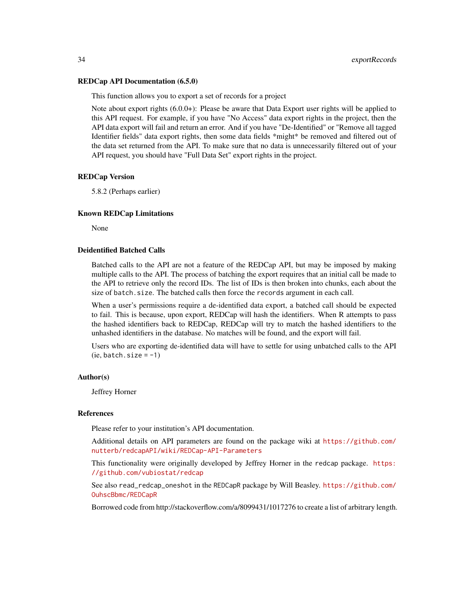#### REDCap API Documentation (6.5.0)

This function allows you to export a set of records for a project

Note about export rights (6.0.0+): Please be aware that Data Export user rights will be applied to this API request. For example, if you have "No Access" data export rights in the project, then the API data export will fail and return an error. And if you have "De-Identified" or "Remove all tagged Identifier fields" data export rights, then some data fields \*might\* be removed and filtered out of the data set returned from the API. To make sure that no data is unnecessarily filtered out of your API request, you should have "Full Data Set" export rights in the project.

#### REDCap Version

5.8.2 (Perhaps earlier)

#### Known REDCap Limitations

None

#### Deidentified Batched Calls

Batched calls to the API are not a feature of the REDCap API, but may be imposed by making multiple calls to the API. The process of batching the export requires that an initial call be made to the API to retrieve only the record IDs. The list of IDs is then broken into chunks, each about the size of batch.size. The batched calls then force the records argument in each call.

When a user's permissions require a de-identified data export, a batched call should be expected to fail. This is because, upon export, REDCap will hash the identifiers. When R attempts to pass the hashed identifiers back to REDCap, REDCap will try to match the hashed identifiers to the unhashed identifiers in the database. No matches will be found, and the export will fail.

Users who are exporting de-identified data will have to settle for using unbatched calls to the API  $(ie, batch.size = -1)$ 

#### Author(s)

Jeffrey Horner

#### References

Please refer to your institution's API documentation.

Additional details on API parameters are found on the package wiki at [https://github.com/](https://github.com/nutterb/redcapAPI/wiki/REDCap-API-Parameters) [nutterb/redcapAPI/wiki/REDCap-API-Parameters](https://github.com/nutterb/redcapAPI/wiki/REDCap-API-Parameters)

This functionality were originally developed by Jeffrey Horner in the redcap package. [https:](https://github.com/vubiostat/redcap) [//github.com/vubiostat/redcap](https://github.com/vubiostat/redcap)

See also read\_redcap\_oneshot in the REDCapR package by Will Beasley. [https://github.com/](https://github.com/OuhscBbmc/REDCapR) [OuhscBbmc/REDCapR](https://github.com/OuhscBbmc/REDCapR)

Borrowed code from http://stackoverflow.com/a/8099431/1017276 to create a list of arbitrary length.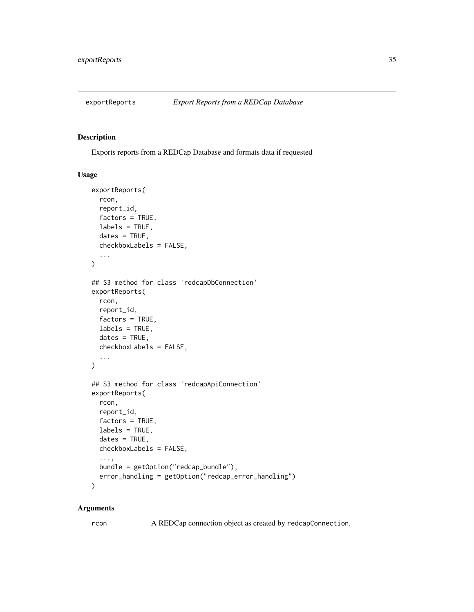<span id="page-34-0"></span>

### Description

Exports reports from a REDCap Database and formats data if requested

#### Usage

```
exportReports(
  rcon,
  report_id,
 factors = TRUE,
 labels = TRUE,
 dates = TRUE,
  checkboxLabels = FALSE,
  ...
)
## S3 method for class 'redcapDbConnection'
exportReports(
  rcon,
  report_id,
 factors = TRUE,
 labels = TRUE,
  dates = TRUE,checkboxLabels = FALSE,
  ...
\mathcal{L}## S3 method for class 'redcapApiConnection'
exportReports(
  rcon,
  report_id,
  factors = TRUE,
  labels = TRUE,
  dates = TRUE,checkboxLabels = FALSE,
  ...,
 bundle = getOption("redcap_bundle"),
  error_handling = getOption("redcap_error_handling")
\lambda
```
#### Arguments

rcon A REDCap connection object as created by redcapConnection.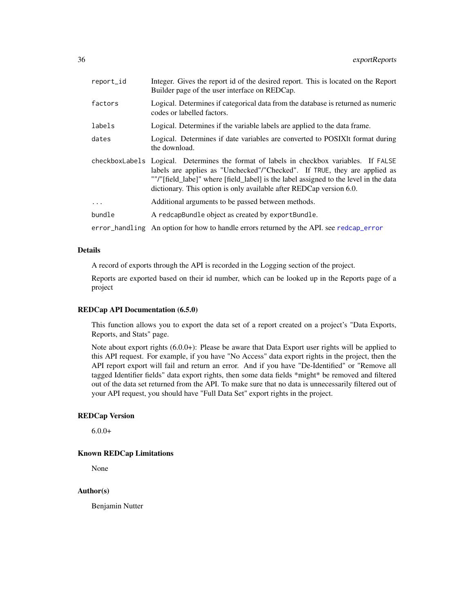<span id="page-35-0"></span>

| report_id | Integer. Gives the report id of the desired report. This is located on the Report<br>Builder page of the user interface on REDCap.                                                                                                                                                                                                  |
|-----------|-------------------------------------------------------------------------------------------------------------------------------------------------------------------------------------------------------------------------------------------------------------------------------------------------------------------------------------|
| factors   | Logical. Determines if categorical data from the database is returned as numeric<br>codes or labelled factors.                                                                                                                                                                                                                      |
| labels    | Logical. Determines if the variable labels are applied to the data frame.                                                                                                                                                                                                                                                           |
| dates     | Logical. Determines if date variables are converted to POSIXIt format during<br>the download.                                                                                                                                                                                                                                       |
|           | checkboxLabels Logical. Determines the format of labels in checkbox variables. If FALSE<br>labels are applies as "Unchecked"/"Checked". If TRUE, they are applied as<br>""/"[field_labe]" where [field_label] is the label assigned to the level in the data<br>dictionary. This option is only available after REDCap version 6.0. |
| $\ldots$  | Additional arguments to be passed between methods.                                                                                                                                                                                                                                                                                  |
| bundle    | A redcapBundle object as created by exportBundle.                                                                                                                                                                                                                                                                                   |
|           | error_handling An option for how to handle errors returned by the API. see redcap_error                                                                                                                                                                                                                                             |

### Details

A record of exports through the API is recorded in the Logging section of the project.

Reports are exported based on their id number, which can be looked up in the Reports page of a project

### REDCap API Documentation (6.5.0)

This function allows you to export the data set of a report created on a project's "Data Exports, Reports, and Stats" page.

Note about export rights (6.0.0+): Please be aware that Data Export user rights will be applied to this API request. For example, if you have "No Access" data export rights in the project, then the API report export will fail and return an error. And if you have "De-Identified" or "Remove all tagged Identifier fields" data export rights, then some data fields \*might\* be removed and filtered out of the data set returned from the API. To make sure that no data is unnecessarily filtered out of your API request, you should have "Full Data Set" export rights in the project.

### REDCap Version

 $6.0.0+$ 

#### Known REDCap Limitations

None

### Author(s)

Benjamin Nutter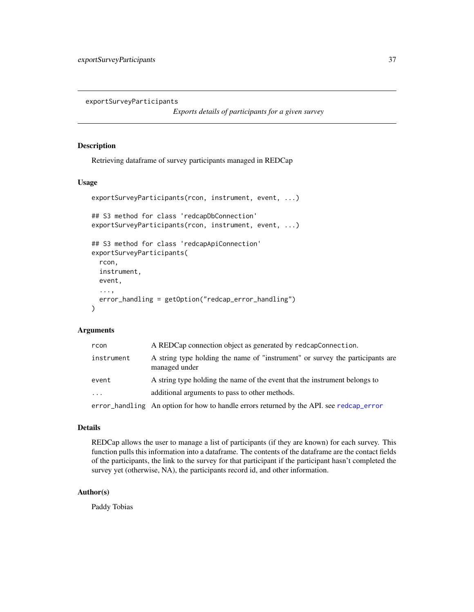<span id="page-36-0"></span>exportSurveyParticipants

*Exports details of participants for a given survey*

### Description

Retrieving dataframe of survey participants managed in REDCap

### Usage

```
exportSurveyParticipants(rcon, instrument, event, ...)
## S3 method for class 'redcapDbConnection'
exportSurveyParticipants(rcon, instrument, event, ...)
## S3 method for class 'redcapApiConnection'
exportSurveyParticipants(
  rcon,
  instrument,
 event,
  ...,
 error_handling = getOption("redcap_error_handling")
\lambda
```
### Arguments

| rcon       | A REDCap connection object as generated by redcapConnection.                                   |
|------------|------------------------------------------------------------------------------------------------|
| instrument | A string type holding the name of "instrument" or survey the participants are<br>managed under |
| event      | A string type holding the name of the event that the instrument belongs to                     |
| $\cdots$   | additional arguments to pass to other methods.                                                 |
|            | error_handling An option for how to handle errors returned by the API. see redcap_error        |

### Details

REDCap allows the user to manage a list of participants (if they are known) for each survey. This function pulls this information into a dataframe. The contents of the dataframe are the contact fields of the participants, the link to the survey for that participant if the participant hasn't completed the survey yet (otherwise, NA), the participants record id, and other information.

#### Author(s)

Paddy Tobias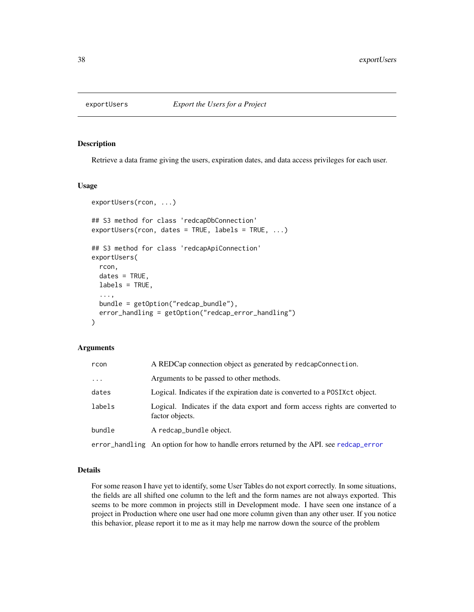<span id="page-37-0"></span>

#### Description

Retrieve a data frame giving the users, expiration dates, and data access privileges for each user.

#### Usage

```
exportUsers(rcon, ...)
## S3 method for class 'redcapDbConnection'
exportUsers(rcon, dates = TRUE, labels = TRUE, ...)
## S3 method for class 'redcapApiConnection'
exportUsers(
  rcon,
  dates = TRUE,
 labels = TRUE,
  ...,
 bundle = getOption("redcap_bundle"),
  error_handling = getOption("redcap_error_handling")
)
```
#### **Arguments**

| rcon     | A REDCap connection object as generated by redcapConnection.                                     |
|----------|--------------------------------------------------------------------------------------------------|
| $\cdots$ | Arguments to be passed to other methods.                                                         |
| dates    | Logical. Indicates if the expiration date is converted to a POSIX ct object.                     |
| labels   | Logical. Indicates if the data export and form access rights are converted to<br>factor objects. |
| bundle   | A redcap_bundle object.                                                                          |
|          | error_handling An option for how to handle errors returned by the API. see redcap_error          |

### Details

For some reason I have yet to identify, some User Tables do not export correctly. In some situations, the fields are all shifted one column to the left and the form names are not always exported. This seems to be more common in projects still in Development mode. I have seen one instance of a project in Production where one user had one more column given than any other user. If you notice this behavior, please report it to me as it may help me narrow down the source of the problem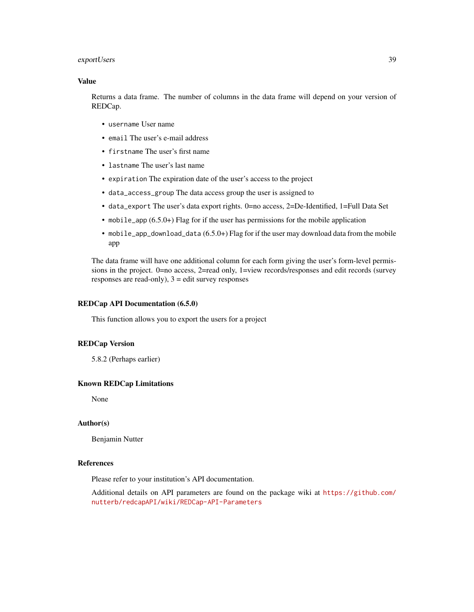### exportUsers 39

### Value

Returns a data frame. The number of columns in the data frame will depend on your version of REDCap.

- username User name
- email The user's e-mail address
- firstname The user's first name
- lastname The user's last name
- expiration The expiration date of the user's access to the project
- data\_access\_group The data access group the user is assigned to
- data\_export The user's data export rights. 0=no access, 2=De-Identified, 1=Full Data Set
- mobile\_app (6.5.0+) Flag for if the user has permissions for the mobile application
- mobile\_app\_download\_data (6.5.0+) Flag for if the user may download data from the mobile app

The data frame will have one additional column for each form giving the user's form-level permissions in the project. 0=no access, 2=read only, 1=view records/responses and edit records (survey responses are read-only),  $3 =$  edit survey responses

#### REDCap API Documentation (6.5.0)

This function allows you to export the users for a project

### REDCap Version

5.8.2 (Perhaps earlier)

#### Known REDCap Limitations

None

#### Author(s)

Benjamin Nutter

### References

Please refer to your institution's API documentation.

Additional details on API parameters are found on the package wiki at [https://github.com/](https://github.com/nutterb/redcapAPI/wiki/REDCap-API-Parameters) [nutterb/redcapAPI/wiki/REDCap-API-Parameters](https://github.com/nutterb/redcapAPI/wiki/REDCap-API-Parameters)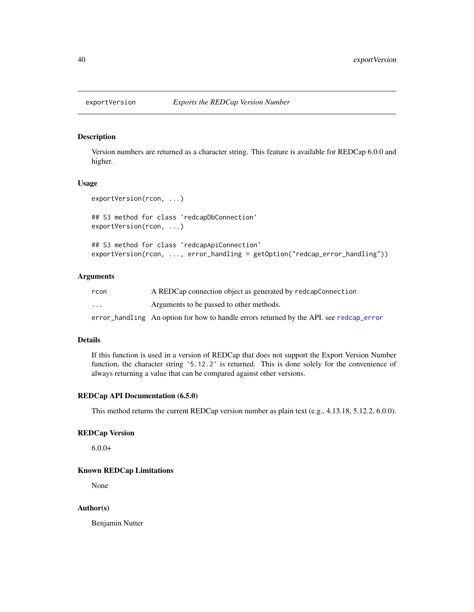<span id="page-39-0"></span>

### Description

Version numbers are returned as a character string. This feature is available for REDCap 6.0.0 and higher.

#### Usage

```
exportVersion(rcon, ...)
## S3 method for class 'redcapDbConnection'
exportVersion(rcon, ...)
```
## S3 method for class 'redcapApiConnection' exportVersion(rcon, ..., error\_handling = getOption("redcap\_error\_handling"))

### Arguments

| rcon                    | A REDCap connection object as generated by redcapConnection                             |
|-------------------------|-----------------------------------------------------------------------------------------|
| $\cdot$ $\cdot$ $\cdot$ | Arguments to be passed to other methods.                                                |
|                         | error_handling An option for how to handle errors returned by the API, see redcap_error |

### Details

If this function is used in a version of REDCap that does not support the Export Version Number function, the character string '5.12.2' is returned. This is done solely for the convenience of always returning a value that can be compared against other versions.

### REDCap API Documentation (6.5.0)

This method returns the current REDCap version number as plain text (e.g., 4.13.18, 5.12.2, 6.0.0).

### REDCap Version

 $6.0.0+$ 

#### Known REDCap Limitations

None

#### Author(s)

Benjamin Nutter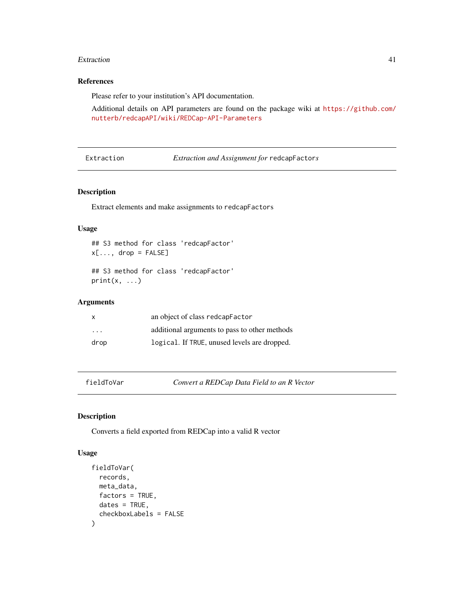#### <span id="page-40-0"></span>Extraction 41

### References

Please refer to your institution's API documentation.

Additional details on API parameters are found on the package wiki at [https://github.com/](https://github.com/nutterb/redcapAPI/wiki/REDCap-API-Parameters) [nutterb/redcapAPI/wiki/REDCap-API-Parameters](https://github.com/nutterb/redcapAPI/wiki/REDCap-API-Parameters)

Extraction *Extraction and Assignment for* redcapFactor*s*

### Description

Extract elements and make assignments to redcapFactors

### Usage

```
## S3 method for class 'redcapFactor'
x[\ldots, drop = FALSE]## S3 method for class 'redcapFactor'
print(x, \ldots)
```
#### Arguments

| $\mathsf{x}$            | an object of class redcapFactor               |
|-------------------------|-----------------------------------------------|
| $\cdot$ $\cdot$ $\cdot$ | additional arguments to pass to other methods |
| drop                    | logical. If TRUE, unused levels are dropped.  |

fieldToVar *Convert a REDCap Data Field to an R Vector*

### Description

Converts a field exported from REDCap into a valid R vector

```
fieldToVar(
  records,
 meta_data,
  factors = TRUE,
  dates = TRUE,checkboxLabels = FALSE
)
```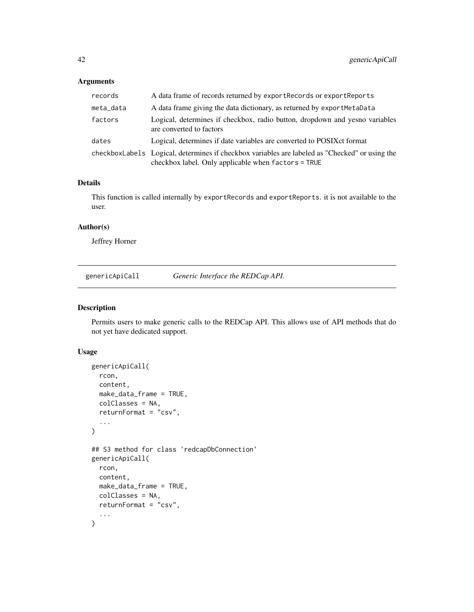### <span id="page-41-0"></span>Arguments

| records   | A data frame of records returned by exportRecords or exportReports                                                                                      |
|-----------|---------------------------------------------------------------------------------------------------------------------------------------------------------|
| meta_data | A data frame giving the data dictionary, as returned by exportMetaData                                                                                  |
| factors   | Logical, determines if checkbox, radio button, dropdown and yesno variables<br>are converted to factors                                                 |
| dates     | Logical, determines if date variables are converted to POSIX ct format                                                                                  |
|           | checkboxLabels Logical, determines if checkbox variables are labeled as "Checked" or using the<br>checkbox label. Only applicable when $factors = TRUE$ |

### Details

This function is called internally by exportRecords and exportReports. it is not available to the user.

### Author(s)

Jeffrey Horner

genericApiCall *Generic Interface the REDCap API.*

### Description

Permits users to make generic calls to the REDCap API. This allows use of API methods that do not yet have dedicated support.

```
genericApiCall(
 rcon,
  content,
 make_data_frame = TRUE,
 colClasses = NA,
  returnFormat = "csv",
  ...
)
## S3 method for class 'redcapDbConnection'
genericApiCall(
 rcon,
  content,
 make_data_frame = TRUE,
 colClasses = NA,
  returnFormat = "csv",
  ...
\mathcal{L}
```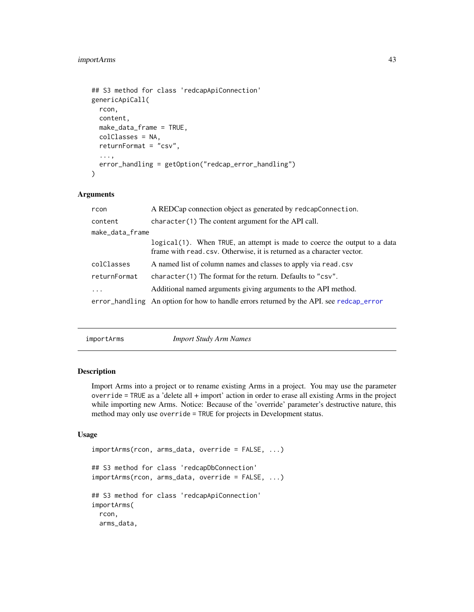### <span id="page-42-0"></span>importArms 43

```
## S3 method for class 'redcapApiConnection'
genericApiCall(
  rcon,
  content,
 make_data_frame = TRUE,
  colClasses = NA,
  returnFormat = "csv",
  ...,
  error_handling = getOption("redcap_error_handling")
)
```
### Arguments

| rcon            | A REDCap connection object as generated by redcapConnection.                                                                                        |  |
|-----------------|-----------------------------------------------------------------------------------------------------------------------------------------------------|--|
| content         | $character(1)$ The content argument for the API call.                                                                                               |  |
| make_data_frame |                                                                                                                                                     |  |
|                 | logical (1). When TRUE, an attempt is made to coerce the output to a data<br>frame with read, csv. Otherwise, it is returned as a character vector. |  |
| colClasses      | A named list of column names and classes to apply via read.csv                                                                                      |  |
| returnFormat    | character(1) The format for the return. Defaults to "csv".                                                                                          |  |
| $\ddots$ .      | Additional named arguments giving arguments to the API method.                                                                                      |  |
|                 | error_handling An option for how to handle errors returned by the API, see redcap_error                                                             |  |

importArms *Import Study Arm Names*

### Description

Import Arms into a project or to rename existing Arms in a project. You may use the parameter override = TRUE as a 'delete all + import' action in order to erase all existing Arms in the project while importing new Arms. Notice: Because of the 'override' parameter's destructive nature, this method may only use override = TRUE for projects in Development status.

```
importArms(rcon, arms_data, override = FALSE, ...)
## S3 method for class 'redcapDbConnection'
importArms(rcon, arms_data, override = FALSE, ...)
## S3 method for class 'redcapApiConnection'
importArms(
 rcon,
 arms_data,
```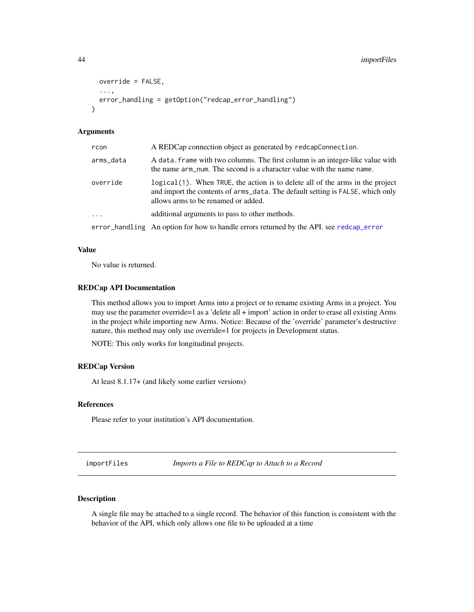```
override = FALSE,
  ...,
  error_handling = getOption("redcap_error_handling")
)
```
### Arguments

| rcon      | A REDCap connection object as generated by redcapConnection.                                                                                                                                            |
|-----------|---------------------------------------------------------------------------------------------------------------------------------------------------------------------------------------------------------|
| arms_data | A data. frame with two columns. The first column is an integer-like value with<br>the name arm_num. The second is a character value with the name name.                                                 |
| override  | logical (1). When TRUE, the action is to delete all of the arms in the project<br>and import the contents of arms_data. The default setting is FALSE, which only<br>allows arms to be renamed or added. |
| $\cdots$  | additional arguments to pass to other methods.                                                                                                                                                          |
|           | error_handling An option for how to handle errors returned by the API. see redcap_error                                                                                                                 |

#### Value

No value is returned.

#### REDCap API Documentation

This method allows you to import Arms into a project or to rename existing Arms in a project. You may use the parameter override=1 as a 'delete all + import' action in order to erase all existing Arms in the project while importing new Arms. Notice: Because of the 'override' parameter's destructive nature, this method may only use override=1 for projects in Development status.

NOTE: This only works for longitudinal projects.

### REDCap Version

At least 8.1.17+ (and likely some earlier versions)

### References

Please refer to your institution's API documentation.

importFiles *Imports a File to REDCap to Attach to a Record*

### Description

A single file may be attached to a single record. The behavior of this function is consistent with the behavior of the API, which only allows one file to be uploaded at a time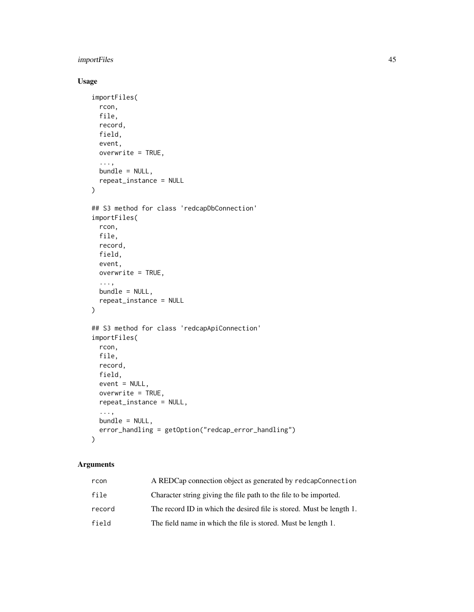### importFiles 45

### Usage

```
importFiles(
  rcon,
 file,
 record,
 field,
 event,
 overwrite = TRUE,
  ...,
 bundle = NULL,
  repeat_instance = NULL
)
## S3 method for class 'redcapDbConnection'
importFiles(
 rcon,
 file,
 record,
 field,
 event,
  overwrite = TRUE,
  ...,
 bundle = NULL,repeat_instance = NULL
\mathcal{L}## S3 method for class 'redcapApiConnection'
importFiles(
 rcon,
 file,
 record,
 field,
 event = NULL,
 overwrite = TRUE,
  repeat_instance = NULL,
  ...,
 bundle = NULL,
 error_handling = getOption("redcap_error_handling")
\mathcal{L}
```
### Arguments

| rcon   | A REDCap connection object as generated by redcapConnection          |
|--------|----------------------------------------------------------------------|
| file   | Character string giving the file path to the file to be imported.    |
| record | The record ID in which the desired file is stored. Must be length 1. |
| field  | The field name in which the file is stored. Must be length 1.        |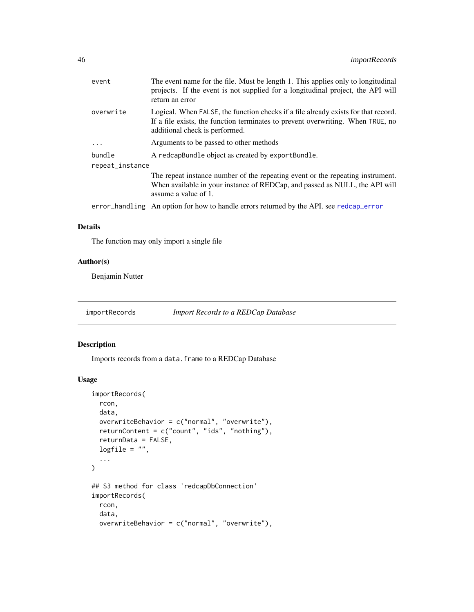<span id="page-45-0"></span>

| event           | The event name for the file. Must be length 1. This applies only to longitudinal<br>projects. If the event is not supplied for a longitudinal project, the API will<br>return an error                  |
|-----------------|---------------------------------------------------------------------------------------------------------------------------------------------------------------------------------------------------------|
| overwrite       | Logical. When FALSE, the function checks if a file already exists for that record.<br>If a file exists, the function terminates to prevent overwriting. When TRUE, no<br>additional check is performed. |
| $\ddots$ .      | Arguments to be passed to other methods                                                                                                                                                                 |
| bundle          | A redcapBundle object as created by exportBundle.                                                                                                                                                       |
| repeat_instance |                                                                                                                                                                                                         |
|                 | The repeat instance number of the repeating event or the repeating instrument.<br>When available in your instance of REDCap, and passed as NULL, the API will<br>assume a value of 1.                   |
|                 | error_handling An option for how to handle errors returned by the API. see redcap_error                                                                                                                 |
|                 |                                                                                                                                                                                                         |

### Details

The function may only import a single file

### Author(s)

Benjamin Nutter

importRecords *Import Records to a REDCap Database*

### Description

Imports records from a data.frame to a REDCap Database

```
importRecords(
 rcon,
 data,
 overwriteBehavior = c("normal", "overwrite"),
 returnContent = c("count", "ids", "nothing"),
  returnData = FALSE,
 logfile = "",
  ...
\mathcal{L}## S3 method for class 'redcapDbConnection'
importRecords(
 rcon,
 data,
 overwriteBehavior = c("normal", "overwrite"),
```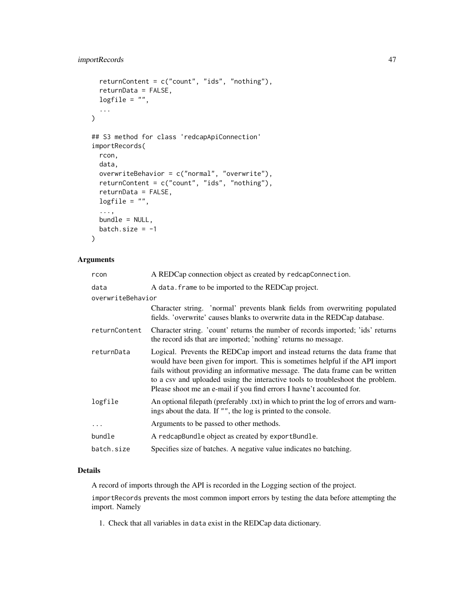### importRecords 47

```
returnContent = c("count", "ids", "nothing"),
  returnData = FALSE,
 logfile = "",...
\mathcal{L}## S3 method for class 'redcapApiConnection'
importRecords(
 rcon,
 data,
 overwriteBehavior = c("normal", "overwrite"),
 returnContent = c("count", "ids", "nothing"),
 returnData = FALSE,
 logfile = "",...,
 bundle = NULL,
 batch.size = -1\mathcal{L}
```
### Arguments

| rcon              | A REDCap connection object as created by redcapConnection.                                                                                                                                                                                                                                                                                                                                               |
|-------------------|----------------------------------------------------------------------------------------------------------------------------------------------------------------------------------------------------------------------------------------------------------------------------------------------------------------------------------------------------------------------------------------------------------|
| data              | A data. frame to be imported to the REDCap project.                                                                                                                                                                                                                                                                                                                                                      |
| overwriteBehavior |                                                                                                                                                                                                                                                                                                                                                                                                          |
|                   | Character string. 'normal' prevents blank fields from overwriting populated<br>fields. 'overwrite' causes blanks to overwrite data in the REDCap database.                                                                                                                                                                                                                                               |
| returnContent     | Character string. 'count' returns the number of records imported; 'ids' returns<br>the record ids that are imported; 'nothing' returns no message.                                                                                                                                                                                                                                                       |
| returnData        | Logical. Prevents the REDCap import and instead returns the data frame that<br>would have been given for import. This is sometimes helpful if the API import<br>fails without providing an informative message. The data frame can be written<br>to a csv and uploaded using the interactive tools to troubleshoot the problem.<br>Please shoot me an e-mail if you find errors I havne't accounted for. |
| logfile           | An optional filepath (preferably txt) in which to print the log of errors and warn-<br>ings about the data. If "", the log is printed to the console.                                                                                                                                                                                                                                                    |
| $\cdots$          | Arguments to be passed to other methods.                                                                                                                                                                                                                                                                                                                                                                 |
| bundle            | A redcapBundle object as created by exportBundle.                                                                                                                                                                                                                                                                                                                                                        |
| batch.size        | Specifies size of batches. A negative value indicates no batching.                                                                                                                                                                                                                                                                                                                                       |

### Details

A record of imports through the API is recorded in the Logging section of the project.

importRecords prevents the most common import errors by testing the data before attempting the import. Namely

1. Check that all variables in data exist in the REDCap data dictionary.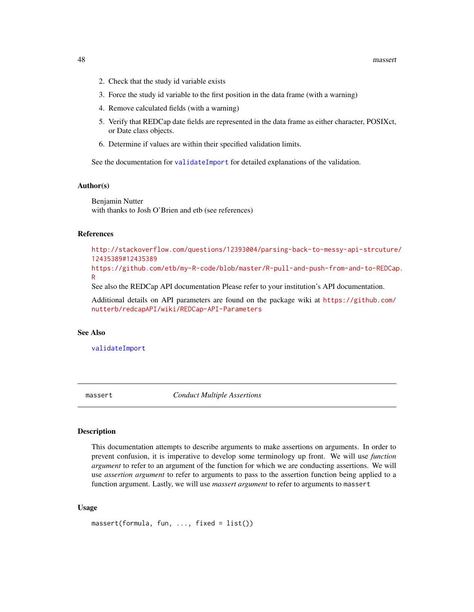- <span id="page-47-0"></span>2. Check that the study id variable exists
- 3. Force the study id variable to the first position in the data frame (with a warning)
- 4. Remove calculated fields (with a warning)
- 5. Verify that REDCap date fields are represented in the data frame as either character, POSIXct, or Date class objects.
- 6. Determine if values are within their specified validation limits.

See the documentation for [validateImport](#page-55-1) for detailed explanations of the validation.

#### Author(s)

Benjamin Nutter with thanks to Josh O'Brien and etb (see references)

#### References

[http://stackoverflow.com/questions/12393004/parsing-back-to-messy-api-strcuture](http://stackoverflow.com/questions/12393004/parsing-back-to-messy-api-strcuture/12435389#12435389)/ [12435389#12435389](http://stackoverflow.com/questions/12393004/parsing-back-to-messy-api-strcuture/12435389#12435389) [https://github.com/etb/my-R-code/blob/master/R-pull-and-push-from-and-to-REDCap](https://github.com/etb/my-R-code/blob/master/R-pull-and-push-from-and-to-REDCap.R).

#### [R](https://github.com/etb/my-R-code/blob/master/R-pull-and-push-from-and-to-REDCap.R)

See also the REDCap API documentation Please refer to your institution's API documentation.

Additional details on API parameters are found on the package wiki at [https://github.com/](https://github.com/nutterb/redcapAPI/wiki/REDCap-API-Parameters) [nutterb/redcapAPI/wiki/REDCap-API-Parameters](https://github.com/nutterb/redcapAPI/wiki/REDCap-API-Parameters)

### See Also

[validateImport](#page-55-1)

massert *Conduct Multiple Assertions*

#### Description

This documentation attempts to describe arguments to make assertions on arguments. In order to prevent confusion, it is imperative to develop some terminology up front. We will use *function argument* to refer to an argument of the function for which we are conducting assertions. We will use *assertion argument* to refer to arguments to pass to the assertion function being applied to a function argument. Lastly, we will use *massert argument* to refer to arguments to massert

```
massert(formula, fun, ..., fixed = list())
```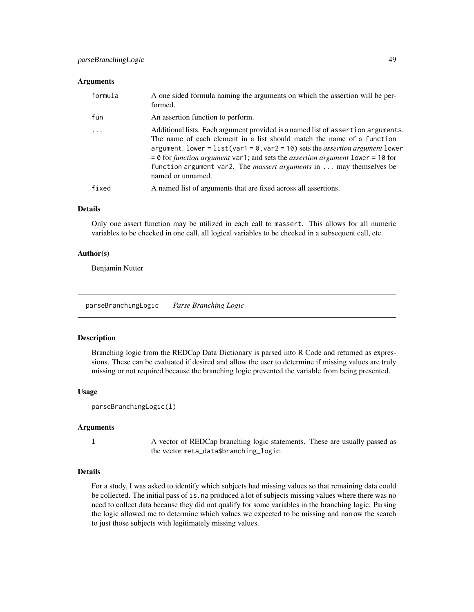#### <span id="page-48-0"></span>**Arguments**

| formula                 | A one sided formula naming the arguments on which the assertion will be per-<br>formed.                                                                                                                                                                                                                                                                                                                                                                          |
|-------------------------|------------------------------------------------------------------------------------------------------------------------------------------------------------------------------------------------------------------------------------------------------------------------------------------------------------------------------------------------------------------------------------------------------------------------------------------------------------------|
| fun                     | An assertion function to perform.                                                                                                                                                                                                                                                                                                                                                                                                                                |
| $\cdot$ $\cdot$ $\cdot$ | Additional lists. Each argument provided is a named list of assertion arguments.<br>The name of each element in a list should match the name of a function<br>argument. lower = $list(var1 = 0, var2 = 10)$ sets the <i>assertion argument</i> lower<br>$= 0$ for <i>function argument</i> var1; and sets the <i>assertion argument</i> lower = 10 for<br>function argument var2. The <i>massert arguments</i> in $\dots$ may themselves be<br>named or unnamed. |
| fixed                   | A named list of arguments that are fixed across all assertions.                                                                                                                                                                                                                                                                                                                                                                                                  |

### Details

Only one assert function may be utilized in each call to massert. This allows for all numeric variables to be checked in one call, all logical variables to be checked in a subsequent call, etc.

#### Author(s)

Benjamin Nutter

parseBranchingLogic *Parse Branching Logic*

#### Description

Branching logic from the REDCap Data Dictionary is parsed into R Code and returned as expressions. These can be evaluated if desired and allow the user to determine if missing values are truly missing or not required because the branching logic prevented the variable from being presented.

### Usage

```
parseBranchingLogic(l)
```
#### Arguments

l A vector of REDCap branching logic statements. These are usually passed as the vector meta\_data\$branching\_logic.

### Details

For a study, I was asked to identify which subjects had missing values so that remaining data could be collected. The initial pass of is. na produced a lot of subjects missing values where there was no need to collect data because they did not qualify for some variables in the branching logic. Parsing the logic allowed me to determine which values we expected to be missing and narrow the search to just those subjects with legitimately missing values.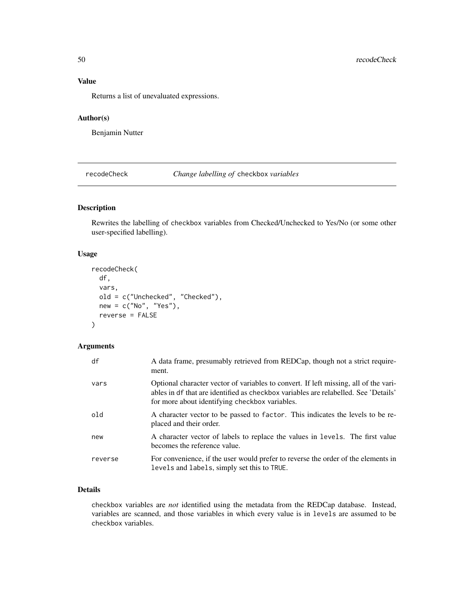### <span id="page-49-0"></span>Value

Returns a list of unevaluated expressions.

#### Author(s)

Benjamin Nutter

recodeCheck *Change labelling of* checkbox *variables*

### Description

Rewrites the labelling of checkbox variables from Checked/Unchecked to Yes/No (or some other user-specified labelling).

### Usage

```
recodeCheck(
 df,
  vars,
 old = c("Unchecked", "Checked"),
 new = c("No", "Yes"),
 reverse = FALSE
)
```
### Arguments

| df      | A data frame, presumably retrieved from REDCap, though not a strict require-<br>ment.                                                                                                                                         |
|---------|-------------------------------------------------------------------------------------------------------------------------------------------------------------------------------------------------------------------------------|
| vars    | Optional character vector of variables to convert. If left missing, all of the vari-<br>ables in df that are identified as checkbox variables are relabelled. See 'Details'<br>for more about identifying checkbox variables. |
| old     | A character vector to be passed to factor. This indicates the levels to be re-<br>placed and their order.                                                                                                                     |
| new     | A character vector of labels to replace the values in levels. The first value<br>becomes the reference value.                                                                                                                 |
| reverse | For convenience, if the user would prefer to reverse the order of the elements in<br>levels and labels, simply set this to TRUE.                                                                                              |

### Details

checkbox variables are *not* identified using the metadata from the REDCap database. Instead, variables are scanned, and those variables in which every value is in levels are assumed to be checkbox variables.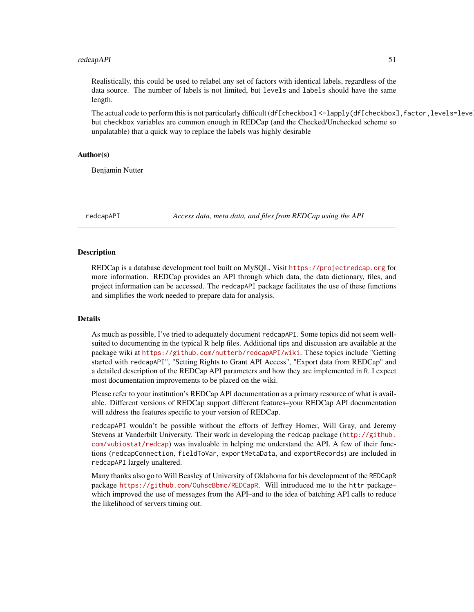#### <span id="page-50-0"></span>redcapAPI 51

Realistically, this could be used to relabel any set of factors with identical labels, regardless of the data source. The number of labels is not limited, but levels and labels should have the same length.

The actual code to perform this is not particularly difficult (df[checkbox] <-lapply(df[checkbox], factor, levels=leve but checkbox variables are common enough in REDCap (and the Checked/Unchecked scheme so unpalatable) that a quick way to replace the labels was highly desirable

### Author(s)

Benjamin Nutter

redcapAPI *Access data, meta data, and files from REDCap using the API*

#### Description

REDCap is a database development tool built on MySQL. Visit <https://projectredcap.org> for more information. REDCap provides an API through which data, the data dictionary, files, and project information can be accessed. The redcapAPI package facilitates the use of these functions and simplifies the work needed to prepare data for analysis.

### Details

As much as possible, I've tried to adequately document redcapAPI. Some topics did not seem wellsuited to documenting in the typical R help files. Additional tips and discussion are available at the package wiki at <https://github.com/nutterb/redcapAPI/wiki>. These topics include "Getting started with redcapAPI", "Setting Rights to Grant API Access", "Export data from REDCap" and a detailed description of the REDCap API parameters and how they are implemented in R. I expect most documentation improvements to be placed on the wiki.

Please refer to your institution's REDCap API documentation as a primary resource of what is available. Different versions of REDCap support different features–your REDCap API documentation will address the features specific to your version of REDCap.

redcapAPI wouldn't be possible without the efforts of Jeffrey Horner, Will Gray, and Jeremy Stevens at Vanderbilt University. Their work in developing the redcap package ([http://github.](http://github.com/vubiostat/redcap) [com/vubiostat/redcap](http://github.com/vubiostat/redcap)) was invaluable in helping me understand the API. A few of their functions (redcapConnection, fieldToVar, exportMetaData, and exportRecords) are included in redcapAPI largely unaltered.

Many thanks also go to Will Beasley of University of Oklahoma for his development of the REDCapR package <https://github.com/OuhscBbmc/REDCapR>. Will introduced me to the httr package– which improved the use of messages from the API–and to the idea of batching API calls to reduce the likelihood of servers timing out.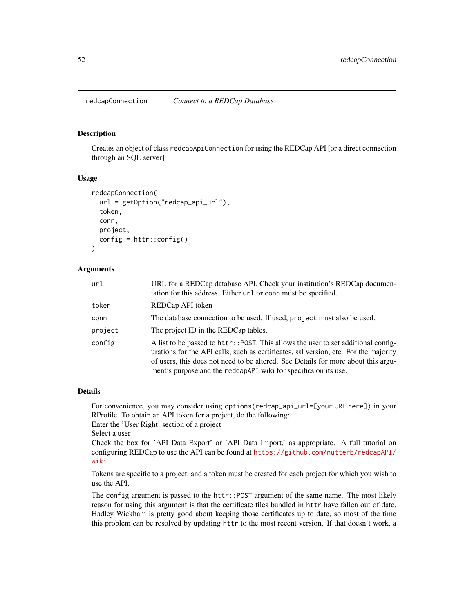<span id="page-51-0"></span>redcapConnection *Connect to a REDCap Database*

#### Description

Creates an object of class redcapApiConnection for using the REDCap API [or a direct connection through an SQL server]

### Usage

```
redcapConnection(
  url = getOption("redcap_api_url"),
  token,
  conn,
  project,
  config = \text{http::config()})
```
#### Arguments

| url     | URL for a REDCap database API. Check your institution's REDCap documen-<br>tation for this address. Either $url$ or connect the specified.                                                                                                                                                                                          |
|---------|-------------------------------------------------------------------------------------------------------------------------------------------------------------------------------------------------------------------------------------------------------------------------------------------------------------------------------------|
| token   | REDCap API token                                                                                                                                                                                                                                                                                                                    |
| conn    | The database connection to be used. If used, project must also be used.                                                                                                                                                                                                                                                             |
| project | The project ID in the REDCap tables.                                                                                                                                                                                                                                                                                                |
| config  | A list to be passed to httr:: POST. This allows the user to set additional config-<br>urations for the API calls, such as certificates, ssl version, etc. For the majority<br>of users, this does not need to be altered. See Details for more about this argu-<br>ment's purpose and the redcapared wiki for specifics on its use. |

#### Details

For convenience, you may consider using options(redcap\_api\_url=[your URL here]) in your RProfile. To obtain an API token for a project, do the following:

Enter the 'User Right' section of a project

```
Select a user
```
Check the box for 'API Data Export' or 'API Data Import,' as appropriate. A full tutorial on configuring REDCap to use the API can be found at [https://github.com/nutterb/redcapAPI/](https://github.com/nutterb/redcapAPI/wiki) [wiki](https://github.com/nutterb/redcapAPI/wiki)

Tokens are specific to a project, and a token must be created for each project for which you wish to use the API.

The config argument is passed to the httr::POST argument of the same name. The most likely reason for using this argument is that the certificate files bundled in httr have fallen out of date. Hadley Wickham is pretty good about keeping those certificates up to date, so most of the time this problem can be resolved by updating httr to the most recent version. If that doesn't work, a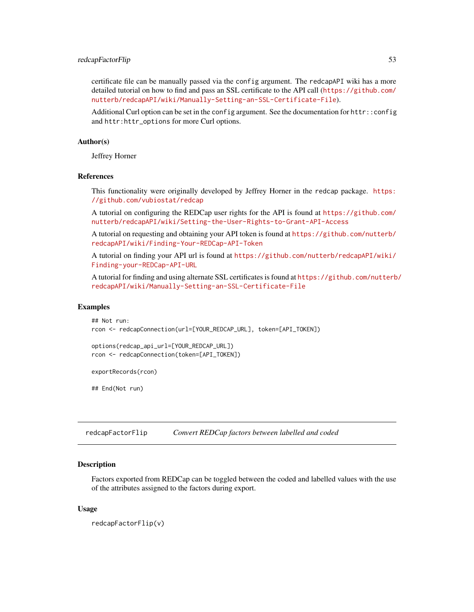#### <span id="page-52-0"></span>redcapFactorFlip 53

certificate file can be manually passed via the config argument. The redcapAPI wiki has a more detailed tutorial on how to find and pass an SSL certificate to the API call ([https://github.com/](https://github.com/nutterb/redcapAPI/wiki/Manually-Setting-an-SSL-Certificate-File) [nutterb/redcapAPI/wiki/Manually-Setting-an-SSL-Certificate-File](https://github.com/nutterb/redcapAPI/wiki/Manually-Setting-an-SSL-Certificate-File)).

Additional Curl option can be set in the config argument. See the documentation for httr::config and httr:httr\_options for more Curl options.

#### Author(s)

Jeffrey Horner

#### References

This functionality were originally developed by Jeffrey Horner in the redcap package. [https:](https://github.com/vubiostat/redcap) [//github.com/vubiostat/redcap](https://github.com/vubiostat/redcap)

A tutorial on configuring the REDCap user rights for the API is found at [https://github.com/](https://github.com/nutterb/redcapAPI/wiki/Setting-the-User-Rights-to-Grant-API-Access) [nutterb/redcapAPI/wiki/Setting-the-User-Rights-to-Grant-API-Access](https://github.com/nutterb/redcapAPI/wiki/Setting-the-User-Rights-to-Grant-API-Access)

A tutorial on requesting and obtaining your API token is found at [https://github.com/nutterb/](https://github.com/nutterb/redcapAPI/wiki/Finding-Your-REDCap-API-Token) [redcapAPI/wiki/Finding-Your-REDCap-API-Token](https://github.com/nutterb/redcapAPI/wiki/Finding-Your-REDCap-API-Token)

A tutorial on finding your API url is found at [https://github.com/nutterb/redcapAPI/wiki/](https://github.com/nutterb/redcapAPI/wiki/Finding-your-REDCap-API-URL) [Finding-your-REDCap-API-URL](https://github.com/nutterb/redcapAPI/wiki/Finding-your-REDCap-API-URL)

A tutorial for finding and using alternate SSL certificates is found at [https://github.com/nutterb](https://github.com/nutterb/redcapAPI/wiki/Manually-Setting-an-SSL-Certificate-File)/ [redcapAPI/wiki/Manually-Setting-an-SSL-Certificate-File](https://github.com/nutterb/redcapAPI/wiki/Manually-Setting-an-SSL-Certificate-File)

#### Examples

```
## Not run:
rcon <- redcapConnection(url=[YOUR_REDCAP_URL], token=[API_TOKEN])
```

```
options(redcap_api_url=[YOUR_REDCAP_URL])
rcon <- redcapConnection(token=[API_TOKEN])
```
exportRecords(rcon)

## End(Not run)

redcapFactorFlip *Convert REDCap factors between labelled and coded*

#### **Description**

Factors exported from REDCap can be toggled between the coded and labelled values with the use of the attributes assigned to the factors during export.

#### Usage

redcapFactorFlip(v)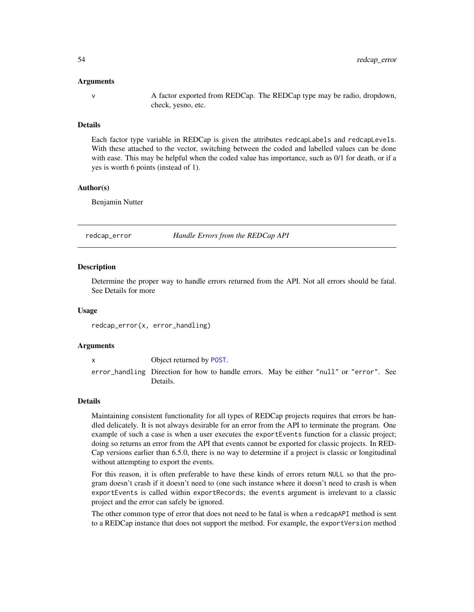#### <span id="page-53-0"></span>Arguments

v A factor exported from REDCap. The REDCap type may be radio, dropdown, check, yesno, etc.

#### Details

Each factor type variable in REDCap is given the attributes redcapLabels and redcapLevels. With these attached to the vector, switching between the coded and labelled values can be done with ease. This may be helpful when the coded value has importance, such as 0/1 for death, or if a yes is worth 6 points (instead of 1).

#### Author(s)

Benjamin Nutter

<span id="page-53-1"></span>redcap\_error *Handle Errors from the REDCap API*

#### Description

Determine the proper way to handle errors returned from the API. Not all errors should be fatal. See Details for more

#### Usage

redcap\_error(x, error\_handling)

#### Arguments

x Object returned by [POST](#page-0-0). error\_handling Direction for how to handle errors. May be either "null" or "error". See Details.

#### Details

Maintaining consistent functionality for all types of REDCap projects requires that errors be handled delicately. It is not always desirable for an error from the API to terminate the program. One example of such a case is when a user executes the exportEvents function for a classic project; doing so returns an error from the API that events cannot be exported for classic projects. In RED-Cap versions earlier than 6.5.0, there is no way to determine if a project is classic or longitudinal without attempting to export the events.

For this reason, it is often preferable to have these kinds of errors return NULL so that the program doesn't crash if it doesn't need to (one such instance where it doesn't need to crash is when exportEvents is called within exportRecords; the events argument is irrelevant to a classic project and the error can safely be ignored.

The other common type of error that does not need to be fatal is when a redcapAPI method is sent to a REDCap instance that does not support the method. For example, the exportVersion method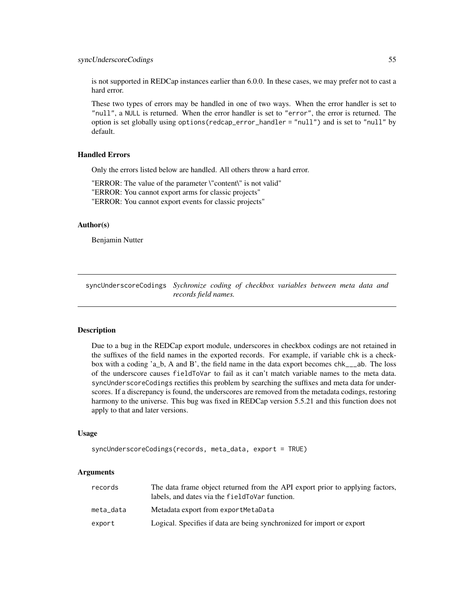<span id="page-54-0"></span>is not supported in REDCap instances earlier than 6.0.0. In these cases, we may prefer not to cast a hard error.

These two types of errors may be handled in one of two ways. When the error handler is set to "null", a NULL is returned. When the error handler is set to "error", the error is returned. The option is set globally using options(redcap\_error\_handler = "null") and is set to "null" by default.

#### Handled Errors

Only the errors listed below are handled. All others throw a hard error.

"ERROR: The value of the parameter \"content\" is not valid"

"ERROR: You cannot export arms for classic projects"

"ERROR: You cannot export events for classic projects"

### Author(s)

Benjamin Nutter

syncUnderscoreCodings *Sychronize coding of checkbox variables between meta data and records field names.*

#### **Description**

Due to a bug in the REDCap export module, underscores in checkbox codings are not retained in the suffixes of the field names in the exported records. For example, if variable chk is a checkbox with a coding 'a\_b, A and B', the field name in the data export becomes chk\_\_\_ab. The loss of the underscore causes fieldToVar to fail as it can't match variable names to the meta data. syncUnderscoreCodings rectifies this problem by searching the suffixes and meta data for underscores. If a discrepancy is found, the underscores are removed from the metadata codings, restoring harmony to the universe. This bug was fixed in REDCap version 5.5.21 and this function does not apply to that and later versions.

#### Usage

```
syncUnderscoreCodings(records, meta_data, export = TRUE)
```
#### Arguments

| records   | The data frame object returned from the API export prior to applying factors,<br>labels, and dates via the field To Var function. |
|-----------|-----------------------------------------------------------------------------------------------------------------------------------|
| meta data | Metadata export from exportMetaData                                                                                               |
| export    | Logical. Specifies if data are being synchronized for import or export                                                            |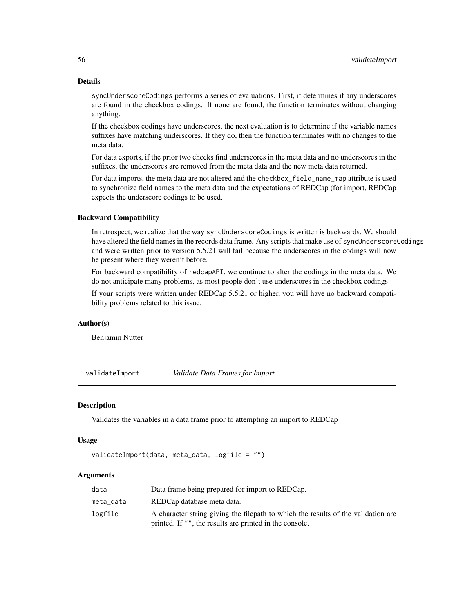### <span id="page-55-0"></span>Details

syncUnderscoreCodings performs a series of evaluations. First, it determines if any underscores are found in the checkbox codings. If none are found, the function terminates without changing anything.

If the checkbox codings have underscores, the next evaluation is to determine if the variable names suffixes have matching underscores. If they do, then the function terminates with no changes to the meta data.

For data exports, if the prior two checks find underscores in the meta data and no underscores in the suffixes, the underscores are removed from the meta data and the new meta data returned.

For data imports, the meta data are not altered and the checkbox\_field\_name\_map attribute is used to synchronize field names to the meta data and the expectations of REDCap (for import, REDCap expects the underscore codings to be used.

#### Backward Compatibility

In retrospect, we realize that the way syncUnderscoreCodings is written is backwards. We should have altered the field names in the records data frame. Any scripts that make use of syncUnderscoreCodings and were written prior to version 5.5.21 will fail because the underscores in the codings will now be present where they weren't before.

For backward compatibility of redcapAPI, we continue to alter the codings in the meta data. We do not anticipate many problems, as most people don't use underscores in the checkbox codings

If your scripts were written under REDCap 5.5.21 or higher, you will have no backward compatibility problems related to this issue.

### Author(s)

Benjamin Nutter

<span id="page-55-1"></span>validateImport *Validate Data Frames for Import*

#### Description

Validates the variables in a data frame prior to attempting an import to REDCap

#### Usage

```
validateImport(data, meta_data, logfile = "")
```
### Arguments

| data      | Data frame being prepared for import to REDCap.                                   |
|-----------|-----------------------------------------------------------------------------------|
| meta_data | REDCap database meta data.                                                        |
| logfile   | A character string giving the filepath to which the results of the validation are |
|           | printed. If "", the results are printed in the console.                           |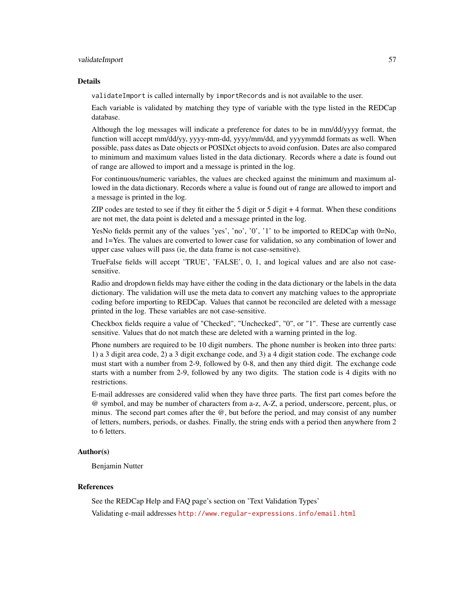#### validateImport 57

#### Details

validateImport is called internally by importRecords and is not available to the user.

Each variable is validated by matching they type of variable with the type listed in the REDCap database.

Although the log messages will indicate a preference for dates to be in mm/dd/yyyy format, the function will accept mm/dd/yy, yyyy-mm-dd, yyyy/mm/dd, and yyyymmdd formats as well. When possible, pass dates as Date objects or POSIXct objects to avoid confusion. Dates are also compared to minimum and maximum values listed in the data dictionary. Records where a date is found out of range are allowed to import and a message is printed in the log.

For continuous/numeric variables, the values are checked against the minimum and maximum allowed in the data dictionary. Records where a value is found out of range are allowed to import and a message is printed in the log.

ZIP codes are tested to see if they fit either the 5 digit or 5 digit + 4 format. When these conditions are not met, the data point is deleted and a message printed in the log.

YesNo fields permit any of the values 'yes', 'no', '0', '1' to be imported to REDCap with 0=No, and 1=Yes. The values are converted to lower case for validation, so any combination of lower and upper case values will pass (ie, the data frame is not case-sensitive).

TrueFalse fields will accept 'TRUE', 'FALSE', 0, 1, and logical values and are also not casesensitive.

Radio and dropdown fields may have either the coding in the data dictionary or the labels in the data dictionary. The validation will use the meta data to convert any matching values to the appropriate coding before importing to REDCap. Values that cannot be reconciled are deleted with a message printed in the log. These variables are not case-sensitive.

Checkbox fields require a value of "Checked", "Unchecked", "0", or "1". These are currently case sensitive. Values that do not match these are deleted with a warning printed in the log.

Phone numbers are required to be 10 digit numbers. The phone number is broken into three parts: 1) a 3 digit area code, 2) a 3 digit exchange code, and 3) a 4 digit station code. The exchange code must start with a number from 2-9, followed by 0-8, and then any third digit. The exchange code starts with a number from 2-9, followed by any two digits. The station code is 4 digits with no restrictions.

E-mail addresses are considered valid when they have three parts. The first part comes before the @ symbol, and may be number of characters from a-z, A-Z, a period, underscore, percent, plus, or minus. The second part comes after the @, but before the period, and may consist of any number of letters, numbers, periods, or dashes. Finally, the string ends with a period then anywhere from 2 to 6 letters.

#### Author(s)

Benjamin Nutter

#### References

See the REDCap Help and FAQ page's section on 'Text Validation Types'

Validating e-mail addresses <http://www.regular-expressions.info/email.html>